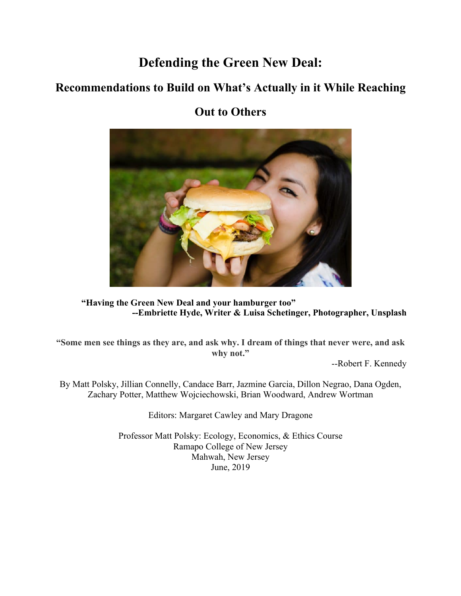# **Defending the Green New Deal:**

## **Recommendations to Build on What's Actually in it While Reaching**

## **Out to Others**



**"Having the Green New Deal and your hamburger too" --Embriette Hyde, Writer & Luisa Schetinger, Photographer, Unsplash**

**"Some men see things as they are, and ask why. I dream of things that never were, and ask why not."**

--Robert F. Kennedy

By Matt Polsky, Jillian Connelly, Candace Barr, Jazmine Garcia, Dillon Negrao, Dana Ogden, Zachary Potter, Matthew Wojciechowski, Brian Woodward, Andrew Wortman

Editors: Margaret Cawley and Mary Dragone

Professor Matt Polsky: Ecology, Economics, & Ethics Course Ramapo College of New Jersey Mahwah, New Jersey June, 2019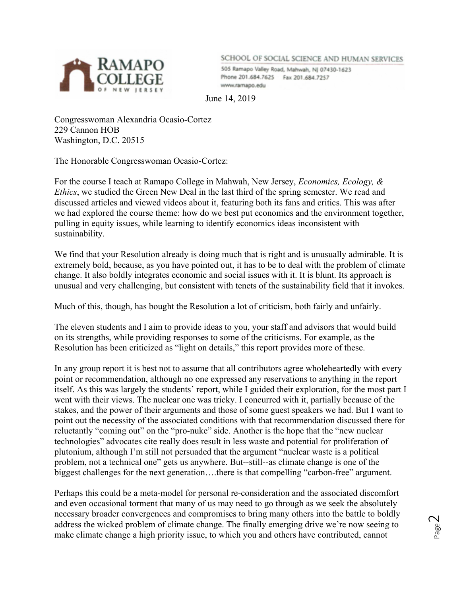

SCHOOL OF SOCIAL SCIENCE AND HUMAN SERVICES

505 Ramapo Valley Road, Mahwah, NJ 07430-1623 Phone 201.684.7625 Fax 201.684.7257 www.ramapo.edu

June 14, 2019

Congresswoman Alexandria Ocasio-Cortez 229 Cannon HOB Washington, D.C. 20515

The Honorable Congresswoman Ocasio-Cortez:

For the course I teach at Ramapo College in Mahwah, New Jersey, *Economics, Ecology, & Ethics*, we studied the Green New Deal in the last third of the spring semester. We read and discussed articles and viewed videos about it, featuring both its fans and critics. This was after we had explored the course theme: how do we best put economics and the environment together, pulling in equity issues, while learning to identify economics ideas inconsistent with sustainability.

We find that your Resolution already is doing much that is right and is unusually admirable. It is extremely bold, because, as you have pointed out, it has to be to deal with the problem of climate change. It also boldly integrates economic and social issues with it. It is blunt. Its approach is unusual and very challenging, but consistent with tenets of the sustainability field that it invokes.

Much of this, though, has bought the Resolution a lot of criticism, both fairly and unfairly.

The eleven students and I aim to provide ideas to you, your staff and advisors that would build on its strengths, while providing responses to some of the criticisms. For example, as the Resolution has been criticized as "light on details," this report provides more of these.

In any group report it is best not to assume that all contributors agree wholeheartedly with every point or recommendation, although no one expressed any reservations to anything in the report itself. As this was largely the students' report, while I guided their exploration, for the most part I went with their views. The nuclear one was tricky. I concurred with it, partially because of the stakes, and the power of their arguments and those of some guest speakers we had. But I want to point out the necessity of the associated conditions with that recommendation discussed there for reluctantly "coming out" on the "pro-nuke" side. Another is the hope that the "new nuclear technologies" advocates cite really does result in less waste and potential for proliferation of plutonium, although I'm still not persuaded that the argument "nuclear waste is a political problem, not a technical one" gets us anywhere. But--still--as climate change is one of the biggest challenges for the next generation….there is that compelling "carbon-free" argument.

Perhaps this could be a meta-model for personal re-consideration and the associated discomfort and even occasional torment that many of us may need to go through as we seek the absolutely necessary broader convergences and compromises to bring many others into the battle to boldly address the wicked problem of climate change. The finally emerging drive we're now seeing to make climate change a high priority issue, to which you and others have contributed, cannot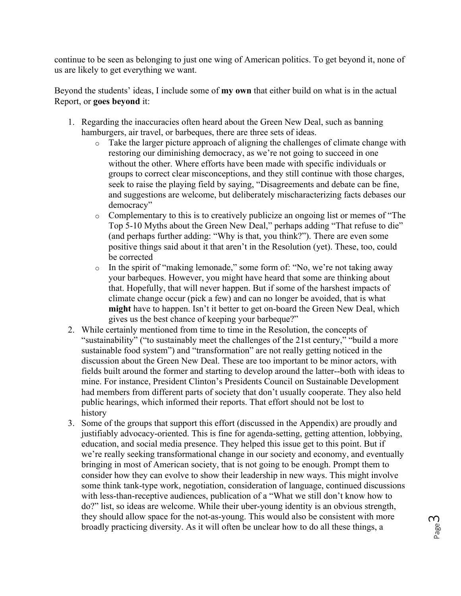continue to be seen as belonging to just one wing of American politics. To get beyond it, none of us are likely to get everything we want.

Beyond the students' ideas, I include some of **my own** that either build on what is in the actual Report, or **goes beyond** it:

- 1. Regarding the inaccuracies often heard about the Green New Deal, such as banning hamburgers, air travel, or barbeques, there are three sets of ideas.
	- o Take the larger picture approach of aligning the challenges of climate change with restoring our diminishing democracy, as we're not going to succeed in one without the other. Where efforts have been made with specific individuals or groups to correct clear misconceptions, and they still continue with those charges, seek to raise the playing field by saying, "Disagreements and debate can be fine, and suggestions are welcome, but deliberately mischaracterizing facts debases our democracy"
	- o Complementary to this is to creatively publicize an ongoing list or memes of "The Top 5-10 Myths about the Green New Deal," perhaps adding "That refuse to die" (and perhaps further adding: "Why is that, you think?"). There are even some positive things said about it that aren't in the Resolution (yet). These, too, could be corrected
	- $\circ$  In the spirit of "making lemonade," some form of: "No, we're not taking away your barbeques. However, you might have heard that some are thinking about that. Hopefully, that will never happen. But if some of the harshest impacts of climate change occur (pick a few) and can no longer be avoided, that is what **might** have to happen. Isn't it better to get on-board the Green New Deal, which gives us the best chance of keeping your barbeque?"
- 2. While certainly mentioned from time to time in the Resolution, the concepts of "sustainability" ("to sustainably meet the challenges of the 21st century," "build a more sustainable food system") and "transformation" are not really getting noticed in the discussion about the Green New Deal. These are too important to be minor actors, with fields built around the former and starting to develop around the latter--both with ideas to mine. For instance, President Clinton's Presidents Council on Sustainable Development had members from different parts of society that don't usually cooperate. They also held public hearings, which informed their reports. That effort should not be lost to history
- 3. Some of the groups that support this effort (discussed in the Appendix) are proudly and justifiably advocacy-oriented. This is fine for agenda-setting, getting attention, lobbying, education, and social media presence. They helped this issue get to this point. But if we're really seeking transformational change in our society and economy, and eventually bringing in most of American society, that is not going to be enough. Prompt them to consider how they can evolve to show their leadership in new ways. This might involve some think tank-type work, negotiation, consideration of language, continued discussions with less-than-receptive audiences, publication of a "What we still don't know how to do?" list, so ideas are welcome. While their uber-young identity is an obvious strength, they should allow space for the not-as-young. This would also be consistent with more broadly practicing diversity. As it will often be unclear how to do all these things, a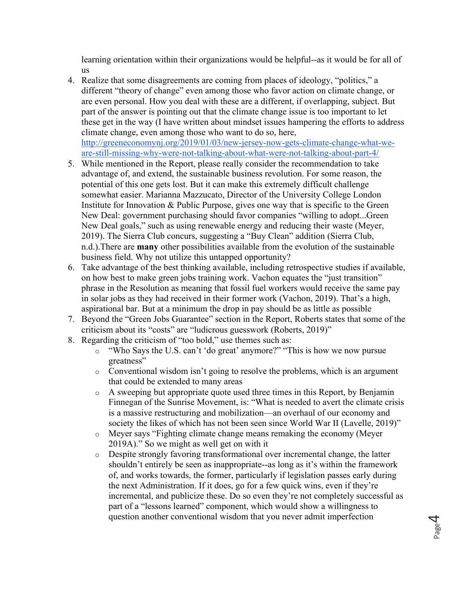learning orientation within their organizations would be helpful--as it would be for all of us

4. Realize that some disagreements are coming from places of ideology, "politics," a different "theory of change" even among those who favor action on climate change, or are even personal. How you deal with these are a different, if overlapping, subject. But part of the answer is pointing out that the climate change issue is too important to let these get in the way (I have written about mindset issues hampering the efforts to address climate change, even among those who want to do so, here, http://greeneconomynj.org/2019/01/03/new-jersey-now-gets-climate-change-what-we-

are-still-missing-why-were-not-talking-about-what-were-not-talking-about-part-4/

- 5. While mentioned in the Report, please really consider the recommendation to take advantage of, and extend, the sustainable business revolution. For some reason, the potential of this one gets lost. But it can make this extremely difficult challenge somewhat easier. Marianna Mazzucato, Director of the University College London Institute for Innovation & Public Purpose, gives one way that is specific to the Green New Deal: government purchasing should favor companies "willing to adopt...Green New Deal goals," such as using renewable energy and reducing their waste (Meyer, 2019). The Sierra Club concurs, suggesting a "Buy Clean" addition (Sierra Club, n.d.).There are **many** other possibilities available from the evolution of the sustainable business field. Why not utilize this untapped opportunity?
- 6. Take advantage of the best thinking available, including retrospective studies if available, on how best to make green jobs training work. Vachon equates the "just transition" phrase in the Resolution as meaning that fossil fuel workers would receive the same pay in solar jobs as they had received in their former work (Vachon, 2019). That's a high, aspirational bar. But at a minimum the drop in pay should be as little as possible
- 7. Beyond the "Green Jobs Guarantee" section in the Report, Roberts states that some of the criticism about its "costs" are "ludicrous guesswork (Roberts, 2019)"
- 8. Regarding the criticism of "too bold," use themes such as:
	- o "Who Says the U.S. can't 'do great' anymore?" "This is how we now pursue greatness"
	- $\circ$  Conventional wisdom isn't going to resolve the problems, which is an argument that could be extended to many areas
	- o A sweeping but appropriate quote used three times in this Report, by Benjamin Finnegan of the Sunrise Movement, is: "What is needed to avert the climate crisis is a massive restructuring and mobilization—an overhaul of our economy and society the likes of which has not been seen since World War II (Lavelle, 2019)"
	- o Meyer says "Fighting climate change means remaking the economy (Meyer 2019A)." So we might as well get on with it
	- $\circ$  Despite strongly favoring transformational over incremental change, the latter shouldn't entirely be seen as inappropriate--as long as it's within the framework of, and works towards, the former, particularly if legislation passes early during the next Administration. If it does, go for a few quick wins, even if they're incremental, and publicize these. Do so even they're not completely successful as part of a "lessons learned" component, which would show a willingness to question another conventional wisdom that you never admit imperfection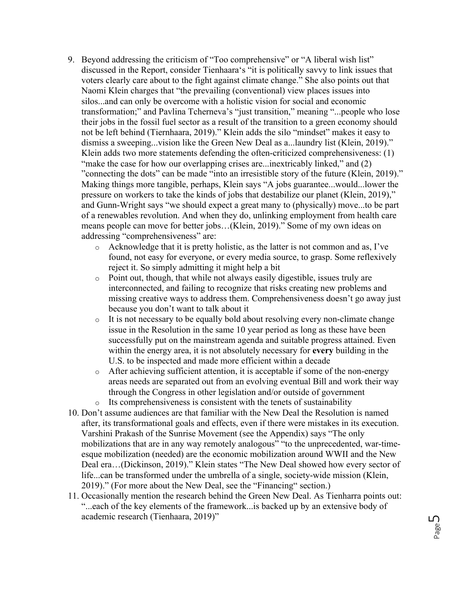- 9. Beyond addressing the criticism of "Too comprehensive" or "A liberal wish list" discussed in the Report, consider Tienhaara's "it is politically savvy to link issues that voters clearly care about to the fight against climate change." She also points out that Naomi Klein charges that "the prevailing (conventional) view places issues into silos...and can only be overcome with a holistic vision for social and economic transformation;" and Pavlina Tcherneva's "just transition," meaning "...people who lose their jobs in the fossil fuel sector as a result of the transition to a green economy should not be left behind (Tiernhaara, 2019)." Klein adds the silo "mindset" makes it easy to dismiss a sweeping...vision like the Green New Deal as a...laundry list (Klein, 2019)." Klein adds two more statements defending the often-criticized comprehensiveness: (1) "make the case for how our overlapping crises are...inextricably linked," and (2) "connecting the dots" can be made "into an irresistible story of the future (Klein, 2019)." Making things more tangible, perhaps, Klein says "A jobs guarantee...would...lower the pressure on workers to take the kinds of jobs that destabilize our planet (Klein, 2019)," and Gunn-Wright says "we should expect a great many to (physically) move...to be part of a renewables revolution. And when they do, unlinking employment from health care means people can move for better jobs…(Klein, 2019)." Some of my own ideas on addressing "comprehensiveness" are:
	- o Acknowledge that it is pretty holistic, as the latter is not common and as, I've found, not easy for everyone, or every media source, to grasp. Some reflexively reject it. So simply admitting it might help a bit
	- o Point out, though, that while not always easily digestible, issues truly are interconnected, and failing to recognize that risks creating new problems and missing creative ways to address them. Comprehensiveness doesn't go away just because you don't want to talk about it
	- o It is not necessary to be equally bold about resolving every non-climate change issue in the Resolution in the same 10 year period as long as these have been successfully put on the mainstream agenda and suitable progress attained. Even within the energy area, it is not absolutely necessary for **every** building in the U.S. to be inspected and made more efficient within a decade
	- $\circ$  After achieving sufficient attention, it is acceptable if some of the non-energy areas needs are separated out from an evolving eventual Bill and work their way through the Congress in other legislation and/or outside of government
	- o Its comprehensiveness is consistent with the tenets of sustainability
- 10. Don't assume audiences are that familiar with the New Deal the Resolution is named after, its transformational goals and effects, even if there were mistakes in its execution. Varshini Prakash of the Sunrise Movement (see the Appendix) says "The only mobilizations that are in any way remotely analogous" "to the unprecedented, war-timeesque mobilization (needed) are the economic mobilization around WWII and the New Deal era…(Dickinson, 2019)." Klein states "The New Deal showed how every sector of life...can be transformed under the umbrella of a single, society-wide mission (Klein, 2019)." (For more about the New Deal, see the "Financing" section.)
- 11. Occasionally mention the research behind the Green New Deal. As Tienharra points out: "...each of the key elements of the framework...is backed up by an extensive body of academic research (Tienhaara, 2019)"

Page ഗ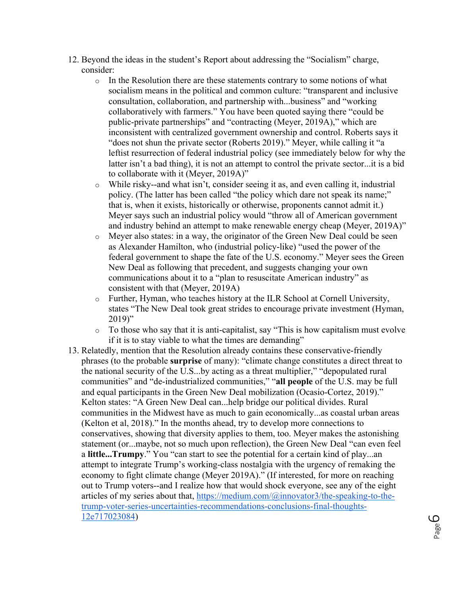- 12. Beyond the ideas in the student's Report about addressing the "Socialism" charge, consider:
	- $\circ$  In the Resolution there are these statements contrary to some notions of what socialism means in the political and common culture: "transparent and inclusive consultation, collaboration, and partnership with...business" and "working collaboratively with farmers." You have been quoted saying there "could be public-private partnerships" and "contracting (Meyer, 2019A)," which are inconsistent with centralized government ownership and control. Roberts says it "does not shun the private sector (Roberts 2019)." Meyer, while calling it "a leftist resurrection of federal industrial policy (see immediately below for why the latter isn't a bad thing), it is not an attempt to control the private sector...it is a bid to collaborate with it (Meyer, 2019A)"
	- o While risky--and what isn't, consider seeing it as, and even calling it, industrial policy. (The latter has been called "the policy which dare not speak its name;" that is, when it exists, historically or otherwise, proponents cannot admit it.) Meyer says such an industrial policy would "throw all of American government and industry behind an attempt to make renewable energy cheap (Meyer, 2019A)"
	- o Meyer also states: in a way, the originator of the Green New Deal could be seen as Alexander Hamilton, who (industrial policy-like) "used the power of the federal government to shape the fate of the U.S. economy." Meyer sees the Green New Deal as following that precedent, and suggests changing your own communications about it to a "plan to resuscitate American industry" as consistent with that (Meyer, 2019A)
	- o Further, Hyman, who teaches history at the ILR School at Cornell University, states "The New Deal took great strides to encourage private investment (Hyman,  $2019$ "
	- $\circ$  To those who say that it is anti-capitalist, say "This is how capitalism must evolve if it is to stay viable to what the times are demanding"
- 13. Relatedly, mention that the Resolution already contains these conservative-friendly phrases (to the probable **surprise** of many): "climate change constitutes a direct threat to the national security of the U.S...by acting as a threat multiplier," "depopulated rural communities" and "de-industrialized communities," "**all people** of the U.S. may be full and equal participants in the Green New Deal mobilization (Ocasio-Cortez, 2019)." Kelton states: "A Green New Deal can...help bridge our political divides. Rural communities in the Midwest have as much to gain economically...as coastal urban areas (Kelton et al, 2018)." In the months ahead, try to develop more connections to conservatives, showing that diversity applies to them, too. Meyer makes the astonishing statement (or...maybe, not so much upon reflection), the Green New Deal "can even feel a **little...Trumpy**." You "can start to see the potential for a certain kind of play...an attempt to integrate Trump's working-class nostalgia with the urgency of remaking the economy to fight climate change (Meyer 2019A)." (If interested, for more on reaching out to Trump voters--and I realize how that would shock everyone, see any of the eight articles of my series about that, https://medium.com/@innovator3/the-speaking-to-thetrump-voter-series-uncertainties-recommendations-conclusions-final-thoughts-12e717023084)

Page  $\mathcal{Q}$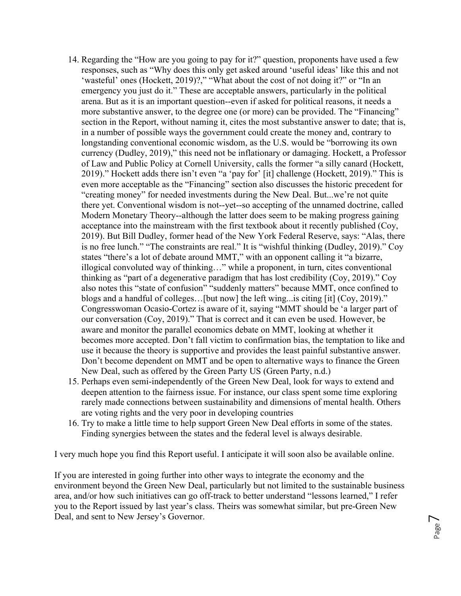- 14. Regarding the "How are you going to pay for it?" question, proponents have used a few responses, such as "Why does this only get asked around 'useful ideas' like this and not 'wasteful' ones (Hockett, 2019)?," "What about the cost of not doing it?" or "In an emergency you just do it." These are acceptable answers, particularly in the political arena. But as it is an important question--even if asked for political reasons, it needs a more substantive answer, to the degree one (or more) can be provided. The "Financing" section in the Report, without naming it, cites the most substantive answer to date; that is, in a number of possible ways the government could create the money and, contrary to longstanding conventional economic wisdom, as the U.S. would be "borrowing its own currency (Dudley, 2019)," this need not be inflationary or damaging. Hockett, a Professor of Law and Public Policy at Cornell University, calls the former "a silly canard (Hockett, 2019)." Hockett adds there isn't even "a 'pay for' [it] challenge (Hockett, 2019)." This is even more acceptable as the "Financing" section also discusses the historic precedent for "creating money" for needed investments during the New Deal. But...we're not quite there yet. Conventional wisdom is not--yet--so accepting of the unnamed doctrine, called Modern Monetary Theory--although the latter does seem to be making progress gaining acceptance into the mainstream with the first textbook about it recently published (Coy, 2019). But Bill Dudley, former head of the New York Federal Reserve, says: "Alas, there is no free lunch." "The constraints are real." It is "wishful thinking (Dudley, 2019)." Coy states "there's a lot of debate around MMT," with an opponent calling it "a bizarre, illogical convoluted way of thinking…" while a proponent, in turn, cites conventional thinking as "part of a degenerative paradigm that has lost credibility (Coy, 2019)." Coy also notes this "state of confusion" "suddenly matters" because MMT, once confined to blogs and a handful of colleges…[but now] the left wing...is citing [it] (Coy, 2019)." Congresswoman Ocasio-Cortez is aware of it, saying "MMT should be 'a larger part of our conversation (Coy, 2019)." That is correct and it can even be used. However, be aware and monitor the parallel economics debate on MMT, looking at whether it becomes more accepted. Don't fall victim to confirmation bias, the temptation to like and use it because the theory is supportive and provides the least painful substantive answer. Don't become dependent on MMT and be open to alternative ways to finance the Green New Deal, such as offered by the Green Party US (Green Party, n.d.)
- 15. Perhaps even semi-independently of the Green New Deal, look for ways to extend and deepen attention to the fairness issue. For instance, our class spent some time exploring rarely made connections between sustainability and dimensions of mental health. Others are voting rights and the very poor in developing countries
- 16. Try to make a little time to help support Green New Deal efforts in some of the states. Finding synergies between the states and the federal level is always desirable.

I very much hope you find this Report useful. I anticipate it will soon also be available online.

If you are interested in going further into other ways to integrate the economy and the environment beyond the Green New Deal, particularly but not limited to the sustainable business area, and/or how such initiatives can go off-track to better understand "lessons learned," I refer you to the Report issued by last year's class. Theirs was somewhat similar, but pre-Green New Deal, and sent to New Jersey's Governor.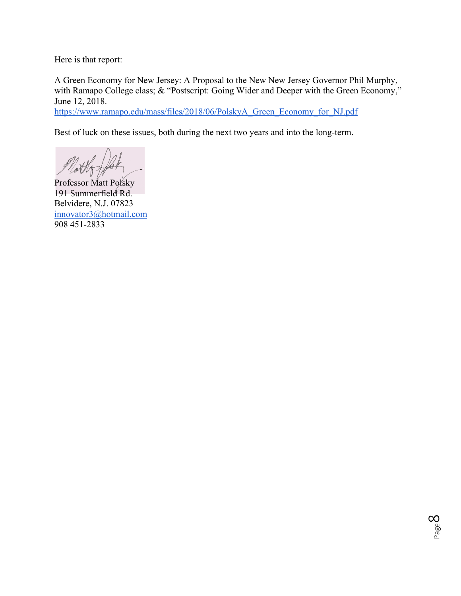Here is that report:

A Green Economy for New Jersey: A Proposal to the New New Jersey Governor Phil Murphy, with Ramapo College class; & "Postscript: Going Wider and Deeper with the Green Economy," June 12, 2018.

https://www.ramapo.edu/mass/files/2018/06/PolskyA\_Green\_Economy\_for\_NJ.pdf

Best of luck on these issues, both during the next two years and into the long-term.

Professor Matt Polsky 191 Summerfield Rd. Belvidere, N.J. 07823 innovator3@hotmail.com 908 451-2833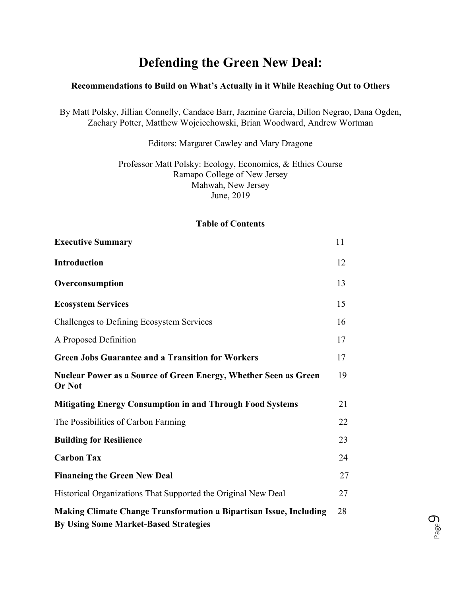# **Defending the Green New Deal:**

## **Recommendations to Build on What's Actually in it While Reaching Out to Others**

By Matt Polsky, Jillian Connelly, Candace Barr, Jazmine Garcia, Dillon Negrao, Dana Ogden, Zachary Potter, Matthew Wojciechowski, Brian Woodward, Andrew Wortman

### Editors: Margaret Cawley and Mary Dragone

## Professor Matt Polsky: Ecology, Economics, & Ethics Course Ramapo College of New Jersey Mahwah, New Jersey June, 2019

## **Table of Contents**

| <b>Executive Summary</b>                                                                                                  | 11 |
|---------------------------------------------------------------------------------------------------------------------------|----|
| <b>Introduction</b>                                                                                                       | 12 |
| Overconsumption                                                                                                           | 13 |
| <b>Ecosystem Services</b>                                                                                                 | 15 |
| Challenges to Defining Ecosystem Services                                                                                 | 16 |
| A Proposed Definition                                                                                                     | 17 |
| <b>Green Jobs Guarantee and a Transition for Workers</b>                                                                  | 17 |
| Nuclear Power as a Source of Green Energy, Whether Seen as Green<br><b>Or Not</b>                                         | 19 |
| <b>Mitigating Energy Consumption in and Through Food Systems</b>                                                          | 21 |
| The Possibilities of Carbon Farming                                                                                       | 22 |
| <b>Building for Resilience</b>                                                                                            | 23 |
| <b>Carbon Tax</b>                                                                                                         | 24 |
| <b>Financing the Green New Deal</b>                                                                                       | 27 |
| Historical Organizations That Supported the Original New Deal                                                             | 27 |
| <b>Making Climate Change Transformation a Bipartisan Issue, Including</b><br><b>By Using Some Market-Based Strategies</b> | 28 |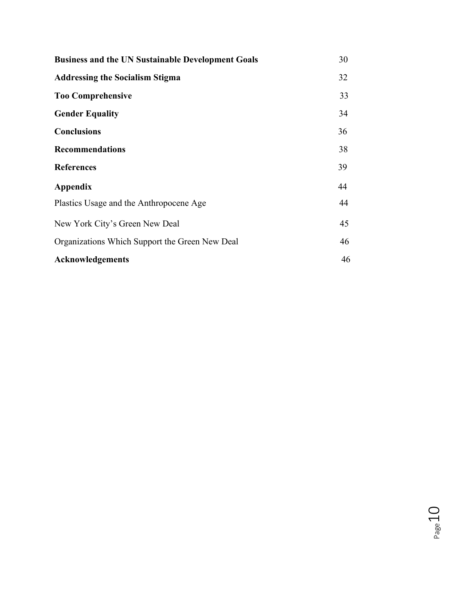| <b>Business and the UN Sustainable Development Goals</b> | 30 |
|----------------------------------------------------------|----|
| <b>Addressing the Socialism Stigma</b>                   | 32 |
| <b>Too Comprehensive</b>                                 | 33 |
| <b>Gender Equality</b>                                   | 34 |
| <b>Conclusions</b>                                       | 36 |
| <b>Recommendations</b>                                   | 38 |
| <b>References</b>                                        | 39 |
| Appendix                                                 | 44 |
| Plastics Usage and the Anthropocene Age                  | 44 |
| New York City's Green New Deal                           | 45 |
| Organizations Which Support the Green New Deal           | 46 |
| <b>Acknowledgements</b>                                  | 46 |

Page  $10$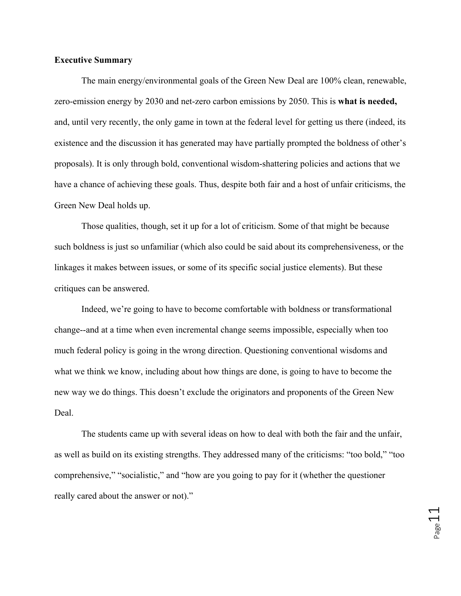#### **Executive Summary**

The main energy/environmental goals of the Green New Deal are 100% clean, renewable, zero-emission energy by 2030 and net-zero carbon emissions by 2050. This is **what is needed,**  and, until very recently, the only game in town at the federal level for getting us there (indeed, its existence and the discussion it has generated may have partially prompted the boldness of other's proposals). It is only through bold, conventional wisdom-shattering policies and actions that we have a chance of achieving these goals. Thus, despite both fair and a host of unfair criticisms, the Green New Deal holds up.

Those qualities, though, set it up for a lot of criticism. Some of that might be because such boldness is just so unfamiliar (which also could be said about its comprehensiveness, or the linkages it makes between issues, or some of its specific social justice elements). But these critiques can be answered.

Indeed, we're going to have to become comfortable with boldness or transformational change--and at a time when even incremental change seems impossible, especially when too much federal policy is going in the wrong direction. Questioning conventional wisdoms and what we think we know, including about how things are done, is going to have to become the new way we do things. This doesn't exclude the originators and proponents of the Green New Deal.

The students came up with several ideas on how to deal with both the fair and the unfair, as well as build on its existing strengths. They addressed many of the criticisms: "too bold," "too comprehensive," "socialistic," and "how are you going to pay for it (whether the questioner really cared about the answer or not)."

 $\frac{1}{\sqrt{2}}$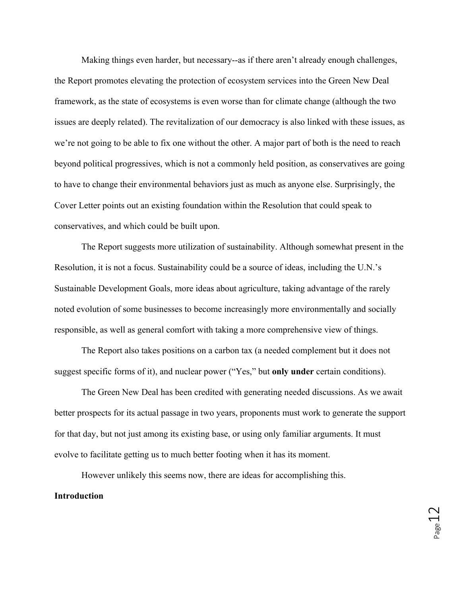Making things even harder, but necessary--as if there aren't already enough challenges, the Report promotes elevating the protection of ecosystem services into the Green New Deal framework, as the state of ecosystems is even worse than for climate change (although the two issues are deeply related). The revitalization of our democracy is also linked with these issues, as we're not going to be able to fix one without the other. A major part of both is the need to reach beyond political progressives, which is not a commonly held position, as conservatives are going to have to change their environmental behaviors just as much as anyone else. Surprisingly, the Cover Letter points out an existing foundation within the Resolution that could speak to conservatives, and which could be built upon.

The Report suggests more utilization of sustainability. Although somewhat present in the Resolution, it is not a focus. Sustainability could be a source of ideas, including the U.N.'s Sustainable Development Goals, more ideas about agriculture, taking advantage of the rarely noted evolution of some businesses to become increasingly more environmentally and socially responsible, as well as general comfort with taking a more comprehensive view of things.

The Report also takes positions on a carbon tax (a needed complement but it does not suggest specific forms of it), and nuclear power ("Yes," but **only under** certain conditions).

The Green New Deal has been credited with generating needed discussions. As we await better prospects for its actual passage in two years, proponents must work to generate the support for that day, but not just among its existing base, or using only familiar arguments. It must evolve to facilitate getting us to much better footing when it has its moment.

However unlikely this seems now, there are ideas for accomplishing this. **Introduction**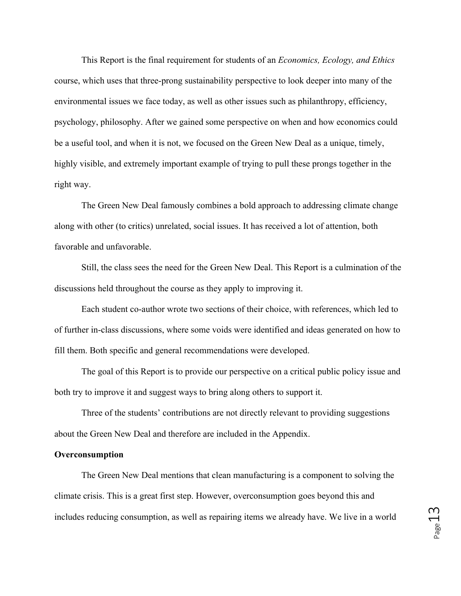This Report is the final requirement for students of an *Economics, Ecology, and Ethics* course, which uses that three-prong sustainability perspective to look deeper into many of the environmental issues we face today, as well as other issues such as philanthropy, efficiency, psychology, philosophy. After we gained some perspective on when and how economics could be a useful tool, and when it is not, we focused on the Green New Deal as a unique, timely, highly visible, and extremely important example of trying to pull these prongs together in the right way.

The Green New Deal famously combines a bold approach to addressing climate change along with other (to critics) unrelated, social issues. It has received a lot of attention, both favorable and unfavorable.

Still, the class sees the need for the Green New Deal. This Report is a culmination of the discussions held throughout the course as they apply to improving it.

Each student co-author wrote two sections of their choice, with references, which led to of further in-class discussions, where some voids were identified and ideas generated on how to fill them. Both specific and general recommendations were developed.

The goal of this Report is to provide our perspective on a critical public policy issue and both try to improve it and suggest ways to bring along others to support it.

Three of the students' contributions are not directly relevant to providing suggestions about the Green New Deal and therefore are included in the Appendix.

#### **Overconsumption**

The Green New Deal mentions that clean manufacturing is a component to solving the climate crisis. This is a great first step. However, overconsumption goes beyond this and includes reducing consumption, as well as repairing items we already have. We live in a world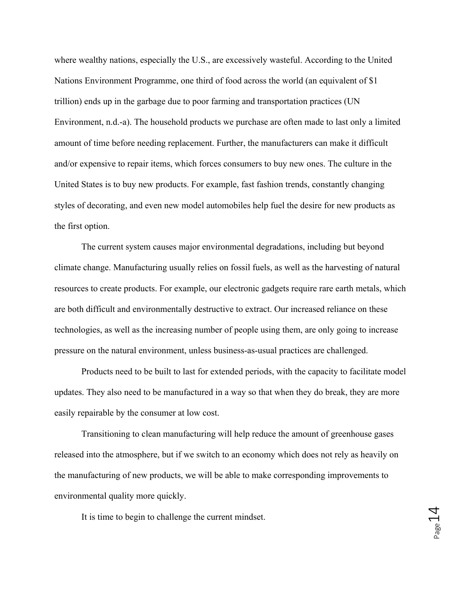where wealthy nations, especially the U.S., are excessively wasteful. According to the United Nations Environment Programme, one third of food across the world (an equivalent of \$1 trillion) ends up in the garbage due to poor farming and transportation practices (UN Environment, n.d.-a). The household products we purchase are often made to last only a limited amount of time before needing replacement. Further, the manufacturers can make it difficult and/or expensive to repair items, which forces consumers to buy new ones. The culture in the United States is to buy new products. For example, fast fashion trends, constantly changing styles of decorating, and even new model automobiles help fuel the desire for new products as the first option.

The current system causes major environmental degradations, including but beyond climate change. Manufacturing usually relies on fossil fuels, as well as the harvesting of natural resources to create products. For example, our electronic gadgets require rare earth metals, which are both difficult and environmentally destructive to extract. Our increased reliance on these technologies, as well as the increasing number of people using them, are only going to increase pressure on the natural environment, unless business-as-usual practices are challenged.

Products need to be built to last for extended periods, with the capacity to facilitate model updates. They also need to be manufactured in a way so that when they do break, they are more easily repairable by the consumer at low cost.

Transitioning to clean manufacturing will help reduce the amount of greenhouse gases released into the atmosphere, but if we switch to an economy which does not rely as heavily on the manufacturing of new products, we will be able to make corresponding improvements to environmental quality more quickly.

It is time to begin to challenge the current mindset.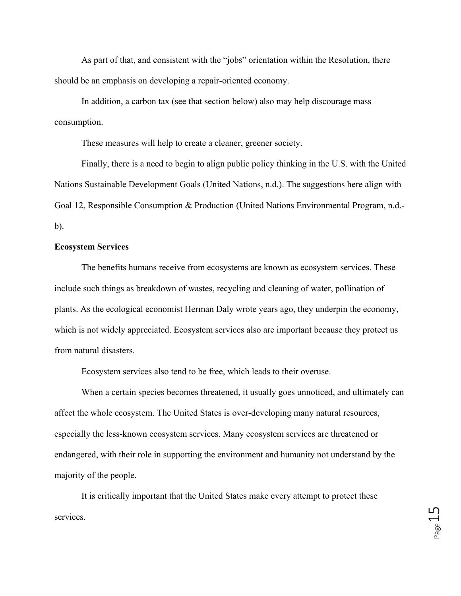As part of that, and consistent with the "jobs" orientation within the Resolution, there should be an emphasis on developing a repair-oriented economy.

In addition, a carbon tax (see that section below) also may help discourage mass consumption.

These measures will help to create a cleaner, greener society.

Finally, there is a need to begin to align public policy thinking in the U.S. with the United Nations Sustainable Development Goals (United Nations, n.d.). The suggestions here align with Goal 12, Responsible Consumption & Production (United Nations Environmental Program, n.d. b).

#### **Ecosystem Services**

The benefits humans receive from ecosystems are known as ecosystem services. These include such things as breakdown of wastes, recycling and cleaning of water, pollination of plants. As the ecological economist Herman Daly wrote years ago, they underpin the economy, which is not widely appreciated. Ecosystem services also are important because they protect us from natural disasters.

Ecosystem services also tend to be free, which leads to their overuse.

When a certain species becomes threatened, it usually goes unnoticed, and ultimately can affect the whole ecosystem. The United States is over-developing many natural resources, especially the less-known ecosystem services. Many ecosystem services are threatened or endangered, with their role in supporting the environment and humanity not understand by the majority of the people.

It is critically important that the United States make every attempt to protect these services.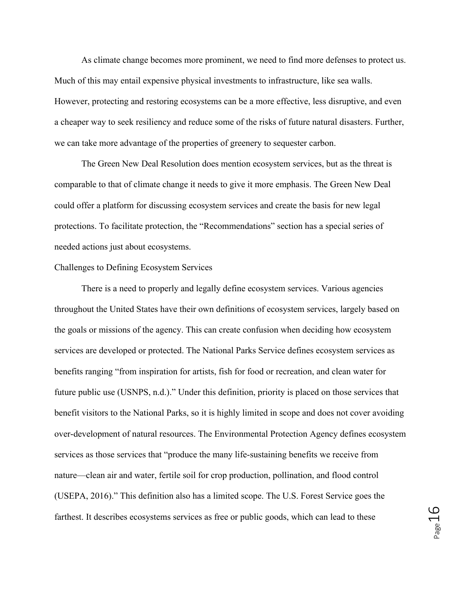As climate change becomes more prominent, we need to find more defenses to protect us. Much of this may entail expensive physical investments to infrastructure, like sea walls. However, protecting and restoring ecosystems can be a more effective, less disruptive, and even a cheaper way to seek resiliency and reduce some of the risks of future natural disasters. Further, we can take more advantage of the properties of greenery to sequester carbon.

The Green New Deal Resolution does mention ecosystem services, but as the threat is comparable to that of climate change it needs to give it more emphasis. The Green New Deal could offer a platform for discussing ecosystem services and create the basis for new legal protections. To facilitate protection, the "Recommendations" section has a special series of needed actions just about ecosystems.

#### Challenges to Defining Ecosystem Services

There is a need to properly and legally define ecosystem services. Various agencies throughout the United States have their own definitions of ecosystem services, largely based on the goals or missions of the agency. This can create confusion when deciding how ecosystem services are developed or protected. The National Parks Service defines ecosystem services as benefits ranging "from inspiration for artists, fish for food or recreation, and clean water for future public use (USNPS, n.d.)." Under this definition, priority is placed on those services that benefit visitors to the National Parks, so it is highly limited in scope and does not cover avoiding over-development of natural resources. The Environmental Protection Agency defines ecosystem services as those services that "produce the many life-sustaining benefits we receive from nature—clean air and water, fertile soil for crop production, pollination, and flood control (USEPA, 2016)." This definition also has a limited scope. The U.S. Forest Service goes the farthest. It describes ecosystems services as free or public goods, which can lead to these

Page16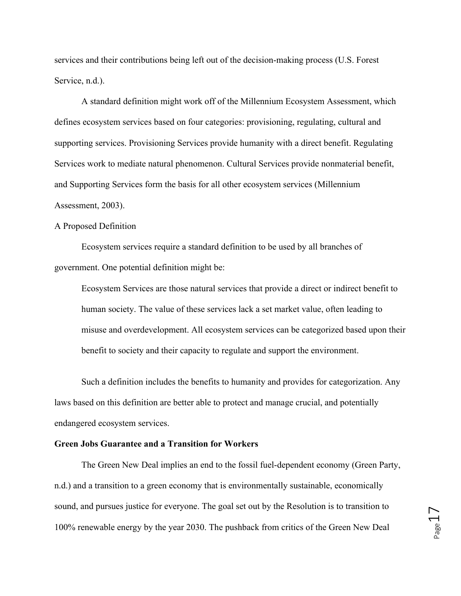services and their contributions being left out of the decision-making process (U.S. Forest Service, n.d.).

A standard definition might work off of the Millennium Ecosystem Assessment, which defines ecosystem services based on four categories: provisioning, regulating, cultural and supporting services. Provisioning Services provide humanity with a direct benefit. Regulating Services work to mediate natural phenomenon. Cultural Services provide nonmaterial benefit, and Supporting Services form the basis for all other ecosystem services (Millennium Assessment, 2003).

#### A Proposed Definition

Ecosystem services require a standard definition to be used by all branches of government. One potential definition might be:

Ecosystem Services are those natural services that provide a direct or indirect benefit to human society. The value of these services lack a set market value, often leading to misuse and overdevelopment. All ecosystem services can be categorized based upon their benefit to society and their capacity to regulate and support the environment.

Such a definition includes the benefits to humanity and provides for categorization. Any laws based on this definition are better able to protect and manage crucial, and potentially endangered ecosystem services.

## **Green Jobs Guarantee and a Transition for Workers**

The Green New Deal implies an end to the fossil fuel-dependent economy (Green Party, n.d.) and a transition to a green economy that is environmentally sustainable, economically sound, and pursues justice for everyone. The goal set out by the Resolution is to transition to 100% renewable energy by the year 2030. The pushback from critics of the Green New Deal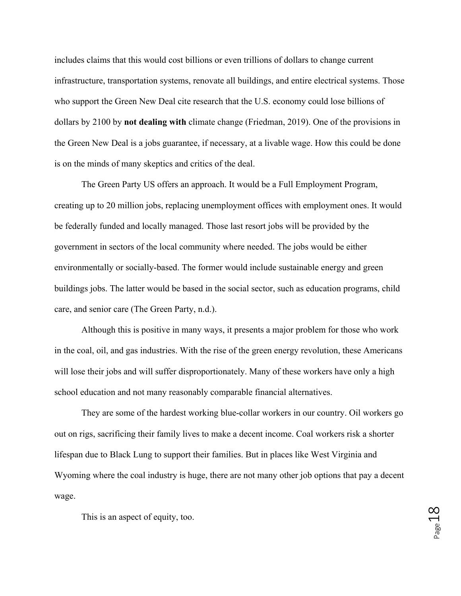includes claims that this would cost billions or even trillions of dollars to change current infrastructure, transportation systems, renovate all buildings, and entire electrical systems. Those who support the Green New Deal cite research that the U.S. economy could lose billions of dollars by 2100 by **not dealing with** climate change (Friedman, 2019). One of the provisions in the Green New Deal is a jobs guarantee, if necessary, at a livable wage. How this could be done is on the minds of many skeptics and critics of the deal.

The Green Party US offers an approach. It would be a Full Employment Program, creating up to 20 million jobs, replacing unemployment offices with employment ones. It would be federally funded and locally managed. Those last resort jobs will be provided by the government in sectors of the local community where needed. The jobs would be either environmentally or socially-based. The former would include sustainable energy and green buildings jobs. The latter would be based in the social sector, such as education programs, child care, and senior care (The Green Party, n.d.).

Although this is positive in many ways, it presents a major problem for those who work in the coal, oil, and gas industries. With the rise of the green energy revolution, these Americans will lose their jobs and will suffer disproportionately. Many of these workers have only a high school education and not many reasonably comparable financial alternatives.

They are some of the hardest working blue-collar workers in our country. Oil workers go out on rigs, sacrificing their family lives to make a decent income. Coal workers risk a shorter lifespan due to Black Lung to support their families. But in places like West Virginia and Wyoming where the coal industry is huge, there are not many other job options that pay a decent wage.

This is an aspect of equity, too.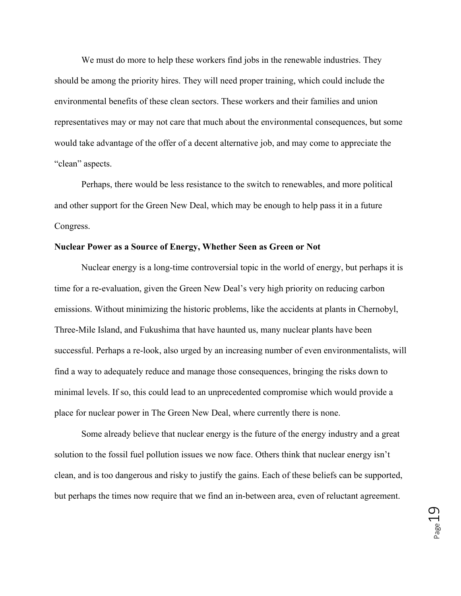We must do more to help these workers find jobs in the renewable industries. They should be among the priority hires. They will need proper training, which could include the environmental benefits of these clean sectors. These workers and their families and union representatives may or may not care that much about the environmental consequences, but some would take advantage of the offer of a decent alternative job, and may come to appreciate the "clean" aspects.

Perhaps, there would be less resistance to the switch to renewables, and more political and other support for the Green New Deal, which may be enough to help pass it in a future Congress.

#### **Nuclear Power as a Source of Energy, Whether Seen as Green or Not**

Nuclear energy is a long-time controversial topic in the world of energy, but perhaps it is time for a re-evaluation, given the Green New Deal's very high priority on reducing carbon emissions. Without minimizing the historic problems, like the accidents at plants in Chernobyl, Three-Mile Island, and Fukushima that have haunted us, many nuclear plants have been successful. Perhaps a re-look, also urged by an increasing number of even environmentalists, will find a way to adequately reduce and manage those consequences, bringing the risks down to minimal levels. If so, this could lead to an unprecedented compromise which would provide a place for nuclear power in The Green New Deal, where currently there is none.

Some already believe that nuclear energy is the future of the energy industry and a great solution to the fossil fuel pollution issues we now face. Others think that nuclear energy isn't clean, and is too dangerous and risky to justify the gains. Each of these beliefs can be supported, but perhaps the times now require that we find an in-between area, even of reluctant agreement.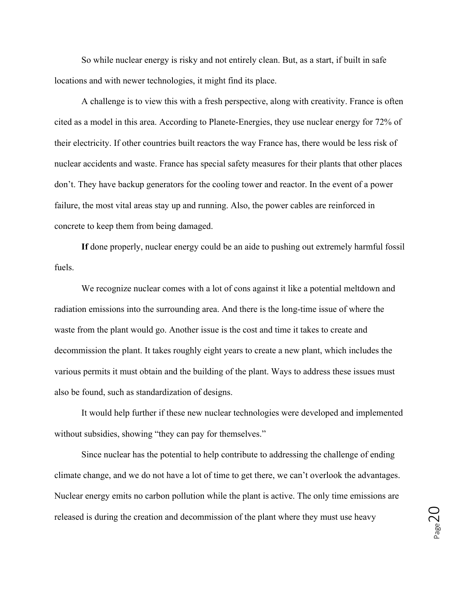So while nuclear energy is risky and not entirely clean. But, as a start, if built in safe locations and with newer technologies, it might find its place.

 A challenge is to view this with a fresh perspective, along with creativity. France is often cited as a model in this area. According to Planete-Energies, they use nuclear energy for 72% of their electricity. If other countries built reactors the way France has, there would be less risk of nuclear accidents and waste. France has special safety measures for their plants that other places don't. They have backup generators for the cooling tower and reactor. In the event of a power failure, the most vital areas stay up and running. Also, the power cables are reinforced in concrete to keep them from being damaged.

**If** done properly, nuclear energy could be an aide to pushing out extremely harmful fossil fuels.

We recognize nuclear comes with a lot of cons against it like a potential meltdown and radiation emissions into the surrounding area. And there is the long-time issue of where the waste from the plant would go. Another issue is the cost and time it takes to create and decommission the plant. It takes roughly eight years to create a new plant, which includes the various permits it must obtain and the building of the plant. Ways to address these issues must also be found, such as standardization of designs.

It would help further if these new nuclear technologies were developed and implemented without subsidies, showing "they can pay for themselves."

Since nuclear has the potential to help contribute to addressing the challenge of ending climate change, and we do not have a lot of time to get there, we can't overlook the advantages. Nuclear energy emits no carbon pollution while the plant is active. The only time emissions are released is during the creation and decommission of the plant where they must use heavy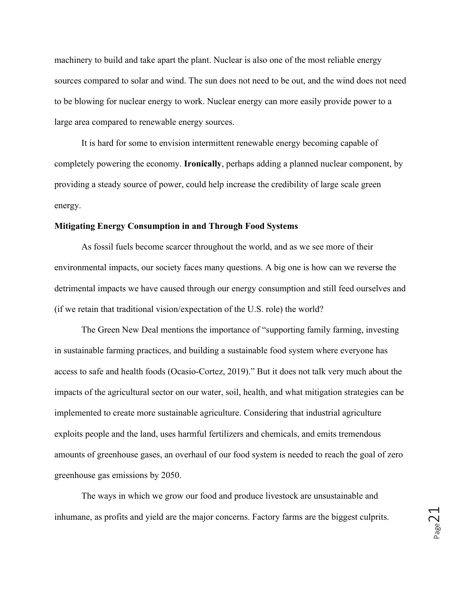machinery to build and take apart the plant. Nuclear is also one of the most reliable energy sources compared to solar and wind. The sun does not need to be out, and the wind does not need to be blowing for nuclear energy to work. Nuclear energy can more easily provide power to a large area compared to renewable energy sources.

It is hard for some to envision intermittent renewable energy becoming capable of completely powering the economy. **Ironically**, perhaps adding a planned nuclear component, by providing a steady source of power, could help increase the credibility of large scale green energy.

#### **Mitigating Energy Consumption in and Through Food Systems**

As fossil fuels become scarcer throughout the world, and as we see more of their environmental impacts, our society faces many questions. A big one is how can we reverse the detrimental impacts we have caused through our energy consumption and still feed ourselves and (if we retain that traditional vision/expectation of the U.S. role) the world?

The Green New Deal mentions the importance of "supporting family farming, investing in sustainable farming practices, and building a sustainable food system where everyone has access to safe and health foods (Ocasio-Cortez, 2019)." But it does not talk very much about the impacts of the agricultural sector on our water, soil, health, and what mitigation strategies can be implemented to create more sustainable agriculture. Considering that industrial agriculture exploits people and the land, uses harmful fertilizers and chemicals, and emits tremendous amounts of greenhouse gases, an overhaul of our food system is needed to reach the goal of zero greenhouse gas emissions by 2050.

The ways in which we grow our food and produce livestock are unsustainable and inhumane, as profits and yield are the major concerns. Factory farms are the biggest culprits.

 $P_{\text{age}}$ 21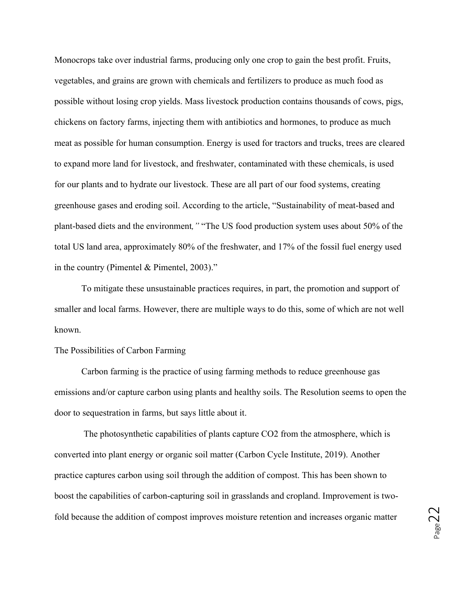Monocrops take over industrial farms, producing only one crop to gain the best profit. Fruits, vegetables, and grains are grown with chemicals and fertilizers to produce as much food as possible without losing crop yields. Mass livestock production contains thousands of cows, pigs, chickens on factory farms, injecting them with antibiotics and hormones, to produce as much meat as possible for human consumption. Energy is used for tractors and trucks, trees are cleared to expand more land for livestock, and freshwater, contaminated with these chemicals, is used for our plants and to hydrate our livestock. These are all part of our food systems, creating greenhouse gases and eroding soil. According to the article, "Sustainability of meat-based and plant-based diets and the environment*,"* "The US food production system uses about 50% of the total US land area, approximately 80% of the freshwater, and 17% of the fossil fuel energy used in the country (Pimentel & Pimentel, 2003)."

To mitigate these unsustainable practices requires, in part, the promotion and support of smaller and local farms. However, there are multiple ways to do this, some of which are not well known.

#### The Possibilities of Carbon Farming

Carbon farming is the practice of using farming methods to reduce greenhouse gas emissions and/or capture carbon using plants and healthy soils. The Resolution seems to open the door to sequestration in farms, but says little about it.

The photosynthetic capabilities of plants capture CO2 from the atmosphere, which is converted into plant energy or organic soil matter (Carbon Cycle Institute, 2019). Another practice captures carbon using soil through the addition of compost. This has been shown to boost the capabilities of carbon-capturing soil in grasslands and cropland. Improvement is twofold because the addition of compost improves moisture retention and increases organic matter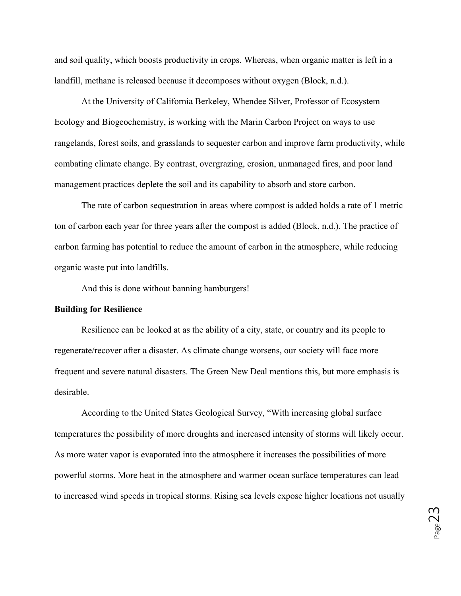and soil quality, which boosts productivity in crops. Whereas, when organic matter is left in a landfill, methane is released because it decomposes without oxygen (Block, n.d.).

At the University of California Berkeley, Whendee Silver, Professor of Ecosystem Ecology and Biogeochemistry, is working with the Marin Carbon Project on ways to use rangelands, forest soils, and grasslands to sequester carbon and improve farm productivity, while combating climate change. By contrast, overgrazing, erosion, unmanaged fires, and poor land management practices deplete the soil and its capability to absorb and store carbon.

The rate of carbon sequestration in areas where compost is added holds a rate of 1 metric ton of carbon each year for three years after the compost is added (Block, n.d.). The practice of carbon farming has potential to reduce the amount of carbon in the atmosphere, while reducing organic waste put into landfills.

And this is done without banning hamburgers!

#### **Building for Resilience**

Resilience can be looked at as the ability of a city, state, or country and its people to regenerate/recover after a disaster. As climate change worsens, our society will face more frequent and severe natural disasters. The Green New Deal mentions this, but more emphasis is desirable.

According to the United States Geological Survey, "With increasing global surface temperatures the possibility of more droughts and increased intensity of storms will likely occur. As more water vapor is evaporated into the atmosphere it increases the possibilities of more powerful storms. More heat in the atmosphere and warmer ocean surface temperatures can lead to increased wind speeds in tropical storms. Rising sea levels expose higher locations not usually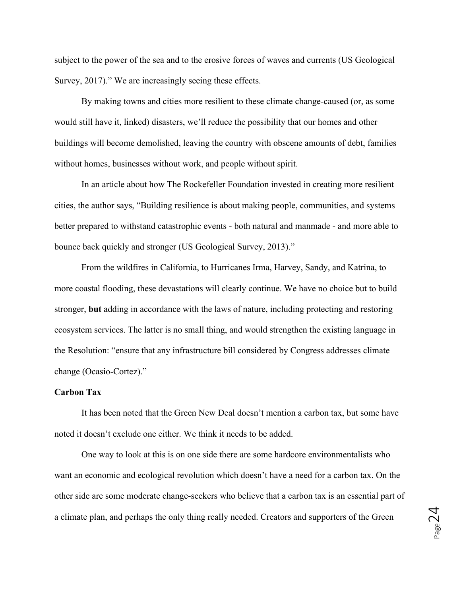subject to the power of the sea and to the erosive forces of waves and currents (US Geological Survey, 2017)." We are increasingly seeing these effects.

By making towns and cities more resilient to these climate change-caused (or, as some would still have it, linked) disasters, we'll reduce the possibility that our homes and other buildings will become demolished, leaving the country with obscene amounts of debt, families without homes, businesses without work, and people without spirit.

In an article about how The Rockefeller Foundation invested in creating more resilient cities, the author says, "Building resilience is about making people, communities, and systems better prepared to withstand catastrophic events - both natural and manmade - and more able to bounce back quickly and stronger (US Geological Survey, 2013)."

From the wildfires in California, to Hurricanes Irma, Harvey, Sandy, and Katrina, to more coastal flooding, these devastations will clearly continue. We have no choice but to build stronger, **but** adding in accordance with the laws of nature, including protecting and restoring ecosystem services. The latter is no small thing, and would strengthen the existing language in the Resolution: "ensure that any infrastructure bill considered by Congress addresses climate change (Ocasio-Cortez)."

#### **Carbon Tax**

It has been noted that the Green New Deal doesn't mention a carbon tax, but some have noted it doesn't exclude one either. We think it needs to be added.

One way to look at this is on one side there are some hardcore environmentalists who want an economic and ecological revolution which doesn't have a need for a carbon tax. On the other side are some moderate change-seekers who believe that a carbon tax is an essential part of a climate plan, and perhaps the only thing really needed. Creators and supporters of the Green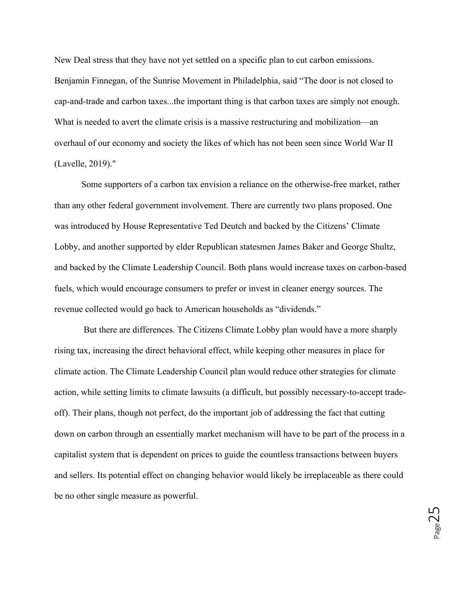New Deal stress that they have not yet settled on a specific plan to cut carbon emissions. Benjamin Finnegan, of the Sunrise Movement in Philadelphia, said "The door is not closed to cap-and-trade and carbon taxes...the important thing is that carbon taxes are simply not enough. What is needed to avert the climate crisis is a massive restructuring and mobilization—an overhaul of our economy and society the likes of which has not been seen since World War II (Lavelle, 2019)."

Some supporters of a carbon tax envision a reliance on the otherwise-free market, rather than any other federal government involvement. There are currently two plans proposed. One was introduced by House Representative Ted Deutch and backed by the Citizens' Climate Lobby, and another supported by elder Republican statesmen James Baker and George Shultz, and backed by the Climate Leadership Council. Both plans would increase taxes on carbon-based fuels, which would encourage consumers to prefer or invest in cleaner energy sources. The revenue collected would go back to American households as "dividends."

But there are differences. The Citizens Climate Lobby plan would have a more sharply rising tax, increasing the direct behavioral effect, while keeping other measures in place for climate action. The Climate Leadership Council plan would reduce other strategies for climate action, while setting limits to climate lawsuits (a difficult, but possibly necessary-to-accept tradeoff). Their plans, though not perfect, do the important job of addressing the fact that cutting down on carbon through an essentially market mechanism will have to be part of the process in a capitalist system that is dependent on prices to guide the countless transactions between buyers and sellers. Its potential effect on changing behavior would likely be irreplaceable as there could be no other single measure as powerful.

Page25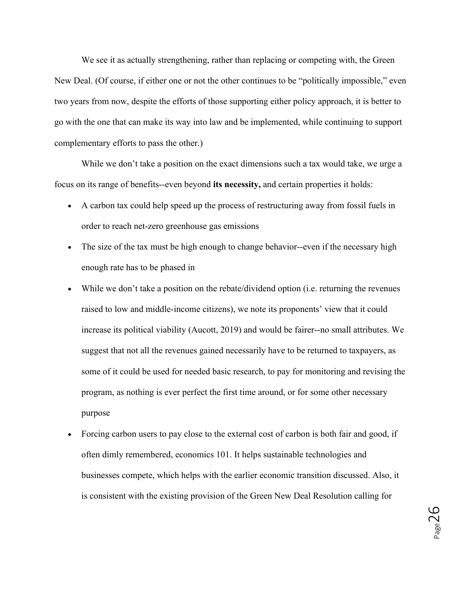We see it as actually strengthening, rather than replacing or competing with, the Green New Deal. (Of course, if either one or not the other continues to be "politically impossible," even two years from now, despite the efforts of those supporting either policy approach, it is better to go with the one that can make its way into law and be implemented, while continuing to support complementary efforts to pass the other.)

While we don't take a position on the exact dimensions such a tax would take, we urge a focus on its range of benefits--even beyond **its necessity,** and certain properties it holds:

- A carbon tax could help speed up the process of restructuring away from fossil fuels in order to reach net-zero greenhouse gas emissions
- The size of the tax must be high enough to change behavior--even if the necessary high enough rate has to be phased in
- While we don't take a position on the rebate/dividend option (i.e. returning the revenues raised to low and middle-income citizens), we note its proponents' view that it could increase its political viability (Aucott, 2019) and would be fairer--no small attributes. We suggest that not all the revenues gained necessarily have to be returned to taxpayers, as some of it could be used for needed basic research, to pay for monitoring and revising the program, as nothing is ever perfect the first time around, or for some other necessary purpose
- Forcing carbon users to pay close to the external cost of carbon is both fair and good, if often dimly remembered, economics 101. It helps sustainable technologies and businesses compete, which helps with the earlier economic transition discussed. Also, it is consistent with the existing provision of the Green New Deal Resolution calling for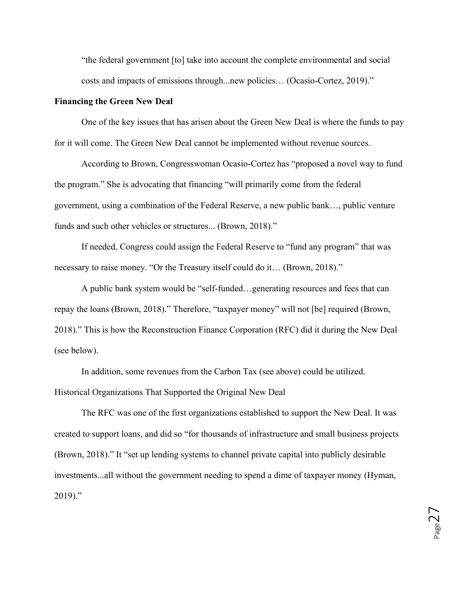"the federal government [to] take into account the complete environmental and social costs and impacts of emissions through...new policies… (Ocasio-Cortez, 2019)."

#### **Financing the Green New Deal**

One of the key issues that has arisen about the Green New Deal is where the funds to pay for it will come. The Green New Deal cannot be implemented without revenue sources.

According to Brown, Congresswoman Ocasio-Cortez has "proposed a novel way to fund the program." She is advocating that financing "will primarily come from the federal government, using a combination of the Federal Reserve, a new public bank…, public venture funds and such other vehicles or structures... (Brown, 2018)."

If needed, Congress could assign the Federal Reserve to "fund any program" that was necessary to raise money. "Or the Treasury itself could do it… (Brown, 2018)."

A public bank system would be "self-funded…generating resources and fees that can repay the loans (Brown, 2018)." Therefore, "taxpayer money" will not [be] required (Brown, 2018)." This is how the Reconstruction Finance Corporation (RFC) did it during the New Deal (see below).

In addition, some revenues from the Carbon Tax (see above) could be utilized. Historical Organizations That Supported the Original New Deal

The RFC was one of the first organizations established to support the New Deal. It was created to support loans, and did so "for thousands of infrastructure and small business projects (Brown, 2018)." It "set up lending systems to channel private capital into publicly desirable investments...all without the government needing to spend a dime of taxpayer money (Hyman, 2019)."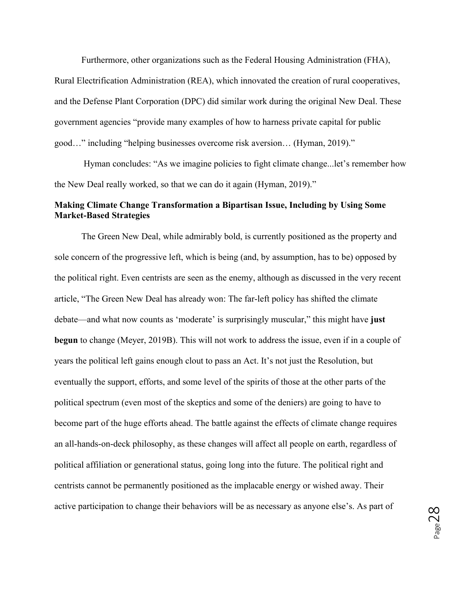Furthermore, other organizations such as the Federal Housing Administration (FHA),

Rural Electrification Administration (REA), which innovated the creation of rural cooperatives, and the Defense Plant Corporation (DPC) did similar work during the original New Deal. These government agencies "provide many examples of how to harness private capital for public good…" including "helping businesses overcome risk aversion… (Hyman, 2019)."

Hyman concludes: "As we imagine policies to fight climate change...let's remember how the New Deal really worked, so that we can do it again (Hyman, 2019)."

### **Making Climate Change Transformation a Bipartisan Issue, Including by Using Some Market-Based Strategies**

The Green New Deal, while admirably bold, is currently positioned as the property and sole concern of the progressive left, which is being (and, by assumption, has to be) opposed by the political right. Even centrists are seen as the enemy, although as discussed in the very recent article, "The Green New Deal has already won: The far-left policy has shifted the climate debate—and what now counts as 'moderate' is surprisingly muscular," this might have **just begun** to change (Meyer, 2019B). This will not work to address the issue, even if in a couple of years the political left gains enough clout to pass an Act. It's not just the Resolution, but eventually the support, efforts, and some level of the spirits of those at the other parts of the political spectrum (even most of the skeptics and some of the deniers) are going to have to become part of the huge efforts ahead. The battle against the effects of climate change requires an all-hands-on-deck philosophy, as these changes will affect all people on earth, regardless of political affiliation or generational status, going long into the future. The political right and centrists cannot be permanently positioned as the implacable energy or wished away. Their active participation to change their behaviors will be as necessary as anyone else's. As part of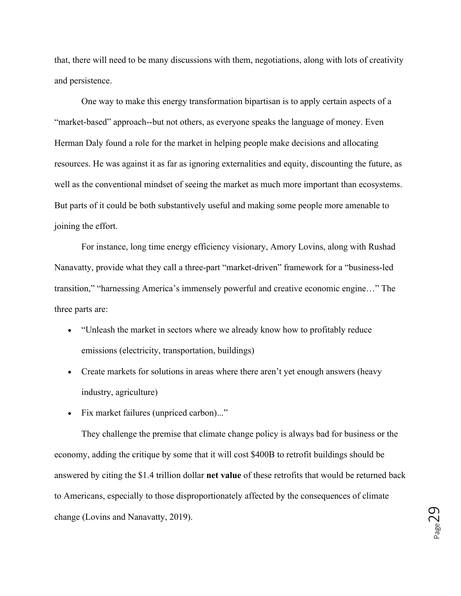that, there will need to be many discussions with them, negotiations, along with lots of creativity and persistence.

One way to make this energy transformation bipartisan is to apply certain aspects of a "market-based" approach--but not others, as everyone speaks the language of money. Even Herman Daly found a role for the market in helping people make decisions and allocating resources. He was against it as far as ignoring externalities and equity, discounting the future, as well as the conventional mindset of seeing the market as much more important than ecosystems. But parts of it could be both substantively useful and making some people more amenable to joining the effort.

For instance, long time energy efficiency visionary, Amory Lovins, along with Rushad Nanavatty, provide what they call a three-part "market-driven" framework for a "business-led transition," "harnessing America's immensely powerful and creative economic engine…" The three parts are:

- "Unleash the market in sectors where we already know how to profitably reduce emissions (electricity, transportation, buildings)
- Create markets for solutions in areas where there aren't yet enough answers (heavy industry, agriculture)
- Fix market failures (unpriced carbon)..."

They challenge the premise that climate change policy is always bad for business or the economy, adding the critique by some that it will cost \$400B to retrofit buildings should be answered by citing the \$1.4 trillion dollar **net value** of these retrofits that would be returned back to Americans, especially to those disproportionately affected by the consequences of climate change (Lovins and Nanavatty, 2019).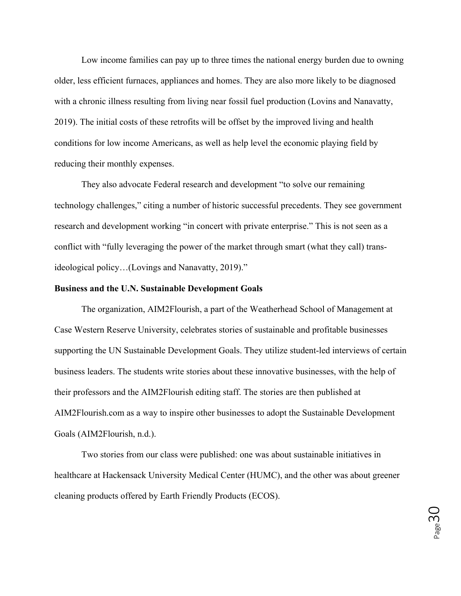Low income families can pay up to three times the national energy burden due to owning older, less efficient furnaces, appliances and homes. They are also more likely to be diagnosed with a chronic illness resulting from living near fossil fuel production (Lovins and Nanavatty, 2019). The initial costs of these retrofits will be offset by the improved living and health conditions for low income Americans, as well as help level the economic playing field by reducing their monthly expenses.

They also advocate Federal research and development "to solve our remaining technology challenges," citing a number of historic successful precedents. They see government research and development working "in concert with private enterprise." This is not seen as a conflict with "fully leveraging the power of the market through smart (what they call) transideological policy…(Lovings and Nanavatty, 2019)."

#### **Business and the U.N. Sustainable Development Goals**

The organization, AIM2Flourish, a part of the Weatherhead School of Management at Case Western Reserve University, celebrates stories of sustainable and profitable businesses supporting the UN Sustainable Development Goals. They utilize student-led interviews of certain business leaders. The students write stories about these innovative businesses, with the help of their professors and the AIM2Flourish editing staff. The stories are then published at AIM2Flourish.com as a way to inspire other businesses to adopt the Sustainable Development Goals (AIM2Flourish, n.d.).

Two stories from our class were published: one was about sustainable initiatives in healthcare at Hackensack University Medical Center (HUMC), and the other was about greener cleaning products offered by Earth Friendly Products (ECOS).

Page30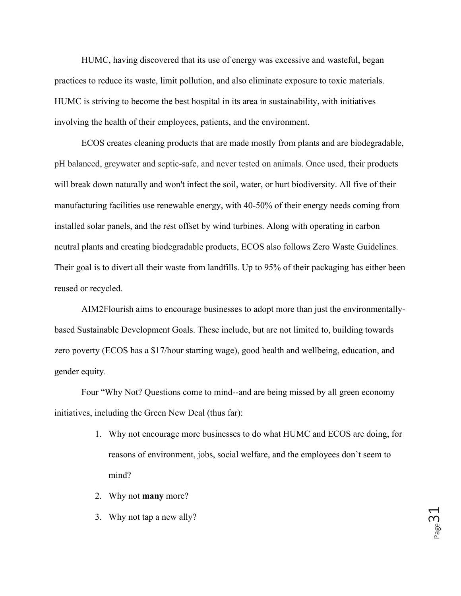HUMC, having discovered that its use of energy was excessive and wasteful, began practices to reduce its waste, limit pollution, and also eliminate exposure to toxic materials. HUMC is striving to become the best hospital in its area in sustainability, with initiatives involving the health of their employees, patients, and the environment.

ECOS creates cleaning products that are made mostly from plants and are biodegradable, pH balanced, greywater and septic-safe, and never tested on animals. Once used, their products will break down naturally and won't infect the soil, water, or hurt biodiversity. All five of their manufacturing facilities use renewable energy, with 40-50% of their energy needs coming from installed solar panels, and the rest offset by wind turbines. Along with operating in carbon neutral plants and creating biodegradable products, ECOS also follows Zero Waste Guidelines. Their goal is to divert all their waste from landfills. Up to 95% of their packaging has either been reused or recycled.

AIM2Flourish aims to encourage businesses to adopt more than just the environmentallybased Sustainable Development Goals. These include, but are not limited to, building towards zero poverty (ECOS has a \$17/hour starting wage), good health and wellbeing, education, and gender equity.

Four "Why Not? Questions come to mind--and are being missed by all green economy initiatives, including the Green New Deal (thus far):

- 1. Why not encourage more businesses to do what HUMC and ECOS are doing, for reasons of environment, jobs, social welfare, and the employees don't seem to mind?
- 2. Why not **many** more?
- 3. Why not tap a new ally?

Page<sup>3</sup>.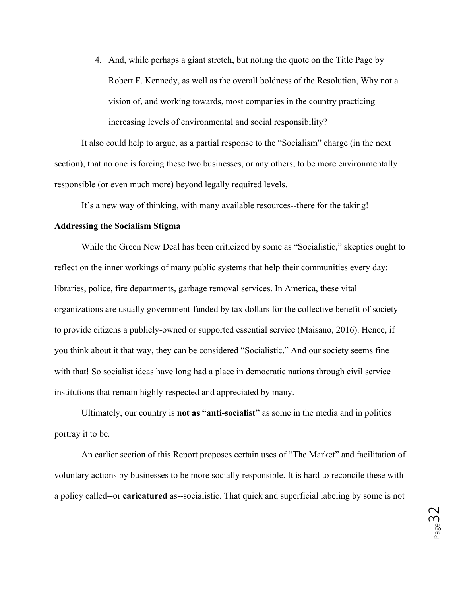4. And, while perhaps a giant stretch, but noting the quote on the Title Page by Robert F. Kennedy, as well as the overall boldness of the Resolution, Why not a vision of, and working towards, most companies in the country practicing increasing levels of environmental and social responsibility?

It also could help to argue, as a partial response to the "Socialism" charge (in the next section), that no one is forcing these two businesses, or any others, to be more environmentally responsible (or even much more) beyond legally required levels.

It's a new way of thinking, with many available resources--there for the taking!

#### **Addressing the Socialism Stigma**

While the Green New Deal has been criticized by some as "Socialistic," skeptics ought to reflect on the inner workings of many public systems that help their communities every day: libraries, police, fire departments, garbage removal services. In America, these vital organizations are usually government-funded by tax dollars for the collective benefit of society to provide citizens a publicly-owned or supported essential service (Maisano, 2016). Hence, if you think about it that way, they can be considered "Socialistic." And our society seems fine with that! So socialist ideas have long had a place in democratic nations through civil service institutions that remain highly respected and appreciated by many.

Ultimately, our country is **not as "anti-socialist"** as some in the media and in politics portray it to be.

An earlier section of this Report proposes certain uses of "The Market" and facilitation of voluntary actions by businesses to be more socially responsible. It is hard to reconcile these with a policy called--or **caricatured** as--socialistic. That quick and superficial labeling by some is not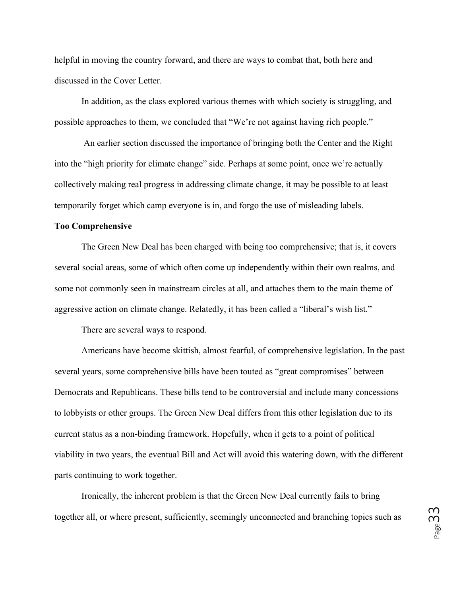helpful in moving the country forward, and there are ways to combat that, both here and discussed in the Cover Letter.

In addition, as the class explored various themes with which society is struggling, and possible approaches to them, we concluded that "We're not against having rich people."

An earlier section discussed the importance of bringing both the Center and the Right into the "high priority for climate change" side. Perhaps at some point, once we're actually collectively making real progress in addressing climate change, it may be possible to at least temporarily forget which camp everyone is in, and forgo the use of misleading labels.

#### **Too Comprehensive**

The Green New Deal has been charged with being too comprehensive; that is, it covers several social areas, some of which often come up independently within their own realms, and some not commonly seen in mainstream circles at all, and attaches them to the main theme of aggressive action on climate change. Relatedly, it has been called a "liberal's wish list."

There are several ways to respond.

Americans have become skittish, almost fearful, of comprehensive legislation. In the past several years, some comprehensive bills have been touted as "great compromises" between Democrats and Republicans. These bills tend to be controversial and include many concessions to lobbyists or other groups. The Green New Deal differs from this other legislation due to its current status as a non-binding framework. Hopefully, when it gets to a point of political viability in two years, the eventual Bill and Act will avoid this watering down, with the different parts continuing to work together.

Ironically, the inherent problem is that the Green New Deal currently fails to bring together all, or where present, sufficiently, seemingly unconnected and branching topics such as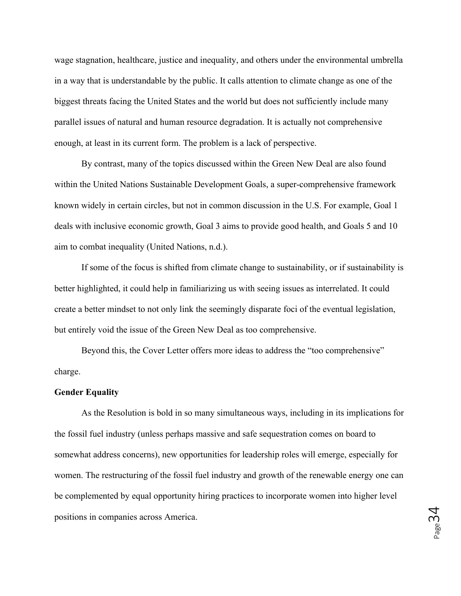wage stagnation, healthcare, justice and inequality, and others under the environmental umbrella in a way that is understandable by the public. It calls attention to climate change as one of the biggest threats facing the United States and the world but does not sufficiently include many parallel issues of natural and human resource degradation. It is actually not comprehensive enough, at least in its current form. The problem is a lack of perspective.

By contrast, many of the topics discussed within the Green New Deal are also found within the United Nations Sustainable Development Goals, a super-comprehensive framework known widely in certain circles, but not in common discussion in the U.S. For example, Goal 1 deals with inclusive economic growth, Goal 3 aims to provide good health, and Goals 5 and 10 aim to combat inequality (United Nations, n.d.).

If some of the focus is shifted from climate change to sustainability, or if sustainability is better highlighted, it could help in familiarizing us with seeing issues as interrelated. It could create a better mindset to not only link the seemingly disparate foci of the eventual legislation, but entirely void the issue of the Green New Deal as too comprehensive.

Beyond this, the Cover Letter offers more ideas to address the "too comprehensive" charge.

#### **Gender Equality**

As the Resolution is bold in so many simultaneous ways, including in its implications for the fossil fuel industry (unless perhaps massive and safe sequestration comes on board to somewhat address concerns), new opportunities for leadership roles will emerge, especially for women. The restructuring of the fossil fuel industry and growth of the renewable energy one can be complemented by equal opportunity hiring practices to incorporate women into higher level positions in companies across America.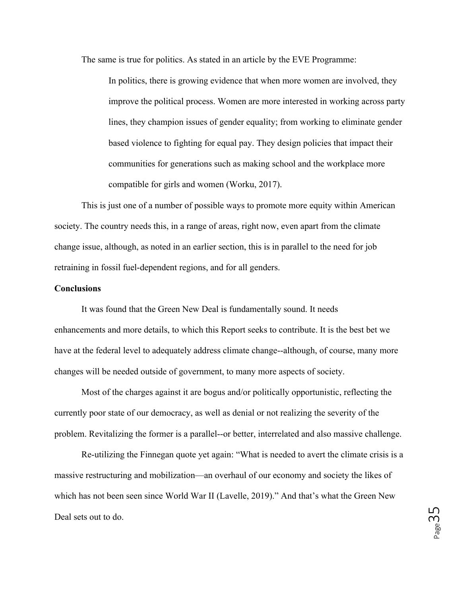The same is true for politics. As stated in an article by the EVE Programme:

In politics, there is growing evidence that when more women are involved, they improve the political process. Women are more interested in working across party lines, they champion issues of gender equality; from working to eliminate gender based violence to fighting for equal pay. They design policies that impact their communities for generations such as making school and the workplace more compatible for girls and women (Worku, 2017).

This is just one of a number of possible ways to promote more equity within American society. The country needs this, in a range of areas, right now, even apart from the climate change issue, although, as noted in an earlier section, this is in parallel to the need for job retraining in fossil fuel-dependent regions, and for all genders.

#### **Conclusions**

It was found that the Green New Deal is fundamentally sound. It needs enhancements and more details, to which this Report seeks to contribute. It is the best bet we have at the federal level to adequately address climate change--although, of course, many more changes will be needed outside of government, to many more aspects of society.

Most of the charges against it are bogus and/or politically opportunistic, reflecting the currently poor state of our democracy, as well as denial or not realizing the severity of the problem. Revitalizing the former is a parallel--or better, interrelated and also massive challenge.

Re-utilizing the Finnegan quote yet again: "What is needed to avert the climate crisis is a massive restructuring and mobilization—an overhaul of our economy and society the likes of which has not been seen since World War II (Lavelle, 2019)." And that's what the Green New Deal sets out to do.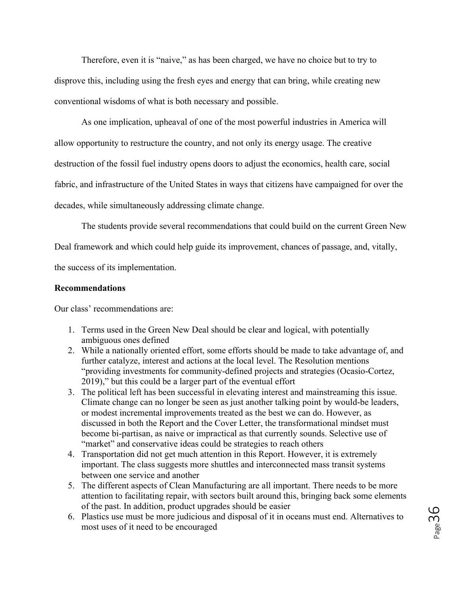Therefore, even it is "naive," as has been charged, we have no choice but to try to disprove this, including using the fresh eyes and energy that can bring, while creating new conventional wisdoms of what is both necessary and possible.

As one implication, upheaval of one of the most powerful industries in America will allow opportunity to restructure the country, and not only its energy usage. The creative destruction of the fossil fuel industry opens doors to adjust the economics, health care, social fabric, and infrastructure of the United States in ways that citizens have campaigned for over the decades, while simultaneously addressing climate change.

The students provide several recommendations that could build on the current Green New

Deal framework and which could help guide its improvement, chances of passage, and, vitally,

the success of its implementation.

#### **Recommendations**

Our class' recommendations are:

- 1. Terms used in the Green New Deal should be clear and logical, with potentially ambiguous ones defined
- 2. While a nationally oriented effort, some efforts should be made to take advantage of, and further catalyze, interest and actions at the local level. The Resolution mentions "providing investments for community-defined projects and strategies (Ocasio-Cortez, 2019)," but this could be a larger part of the eventual effort
- 3. The political left has been successful in elevating interest and mainstreaming this issue. Climate change can no longer be seen as just another talking point by would-be leaders, or modest incremental improvements treated as the best we can do. However, as discussed in both the Report and the Cover Letter, the transformational mindset must become bi-partisan, as naive or impractical as that currently sounds. Selective use of "market" and conservative ideas could be strategies to reach others
- 4. Transportation did not get much attention in this Report. However, it is extremely important. The class suggests more shuttles and interconnected mass transit systems between one service and another
- 5. The different aspects of Clean Manufacturing are all important. There needs to be more attention to facilitating repair, with sectors built around this, bringing back some elements of the past. In addition, product upgrades should be easier
- 6. Plastics use must be more judicious and disposal of it in oceans must end. Alternatives to most uses of it need to be encouraged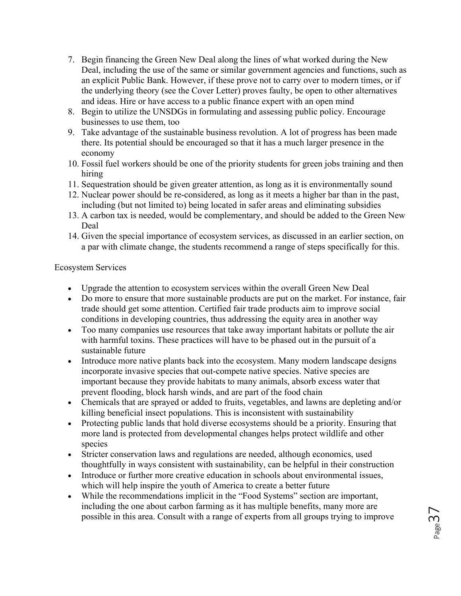- 7. Begin financing the Green New Deal along the lines of what worked during the New Deal, including the use of the same or similar government agencies and functions, such as an explicit Public Bank. However, if these prove not to carry over to modern times, or if the underlying theory (see the Cover Letter) proves faulty, be open to other alternatives and ideas. Hire or have access to a public finance expert with an open mind
- 8. Begin to utilize the UNSDGs in formulating and assessing public policy. Encourage businesses to use them, too
- 9. Take advantage of the sustainable business revolution. A lot of progress has been made there. Its potential should be encouraged so that it has a much larger presence in the economy
- 10. Fossil fuel workers should be one of the priority students for green jobs training and then hiring
- 11. Sequestration should be given greater attention, as long as it is environmentally sound
- 12. Nuclear power should be re-considered, as long as it meets a higher bar than in the past, including (but not limited to) being located in safer areas and eliminating subsidies
- 13. A carbon tax is needed, would be complementary, and should be added to the Green New Deal
- 14. Given the special importance of ecosystem services, as discussed in an earlier section, on a par with climate change, the students recommend a range of steps specifically for this.

## Ecosystem Services

- Upgrade the attention to ecosystem services within the overall Green New Deal
- Do more to ensure that more sustainable products are put on the market. For instance, fair trade should get some attention. Certified fair trade products aim to improve social conditions in developing countries, thus addressing the equity area in another way
- Too many companies use resources that take away important habitats or pollute the air with harmful toxins. These practices will have to be phased out in the pursuit of a sustainable future
- Introduce more native plants back into the ecosystem. Many modern landscape designs incorporate invasive species that out-compete native species. Native species are important because they provide habitats to many animals, absorb excess water that prevent flooding, block harsh winds, and are part of the food chain
- Chemicals that are sprayed or added to fruits, vegetables, and lawns are depleting and/or killing beneficial insect populations. This is inconsistent with sustainability
- Protecting public lands that hold diverse ecosystems should be a priority. Ensuring that more land is protected from developmental changes helps protect wildlife and other species
- Stricter conservation laws and regulations are needed, although economics, used thoughtfully in ways consistent with sustainability, can be helpful in their construction
- Introduce or further more creative education in schools about environmental issues, which will help inspire the youth of America to create a better future
- While the recommendations implicit in the "Food Systems" section are important, including the one about carbon farming as it has multiple benefits, many more are possible in this area. Consult with a range of experts from all groups trying to improve

 $P_{\text{age}}$ 37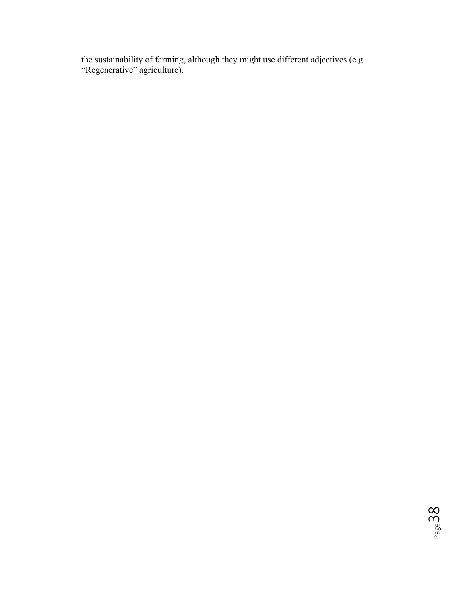the sustainability of farming, although they might use different adjectives (e.g. "Regenerative" agriculture).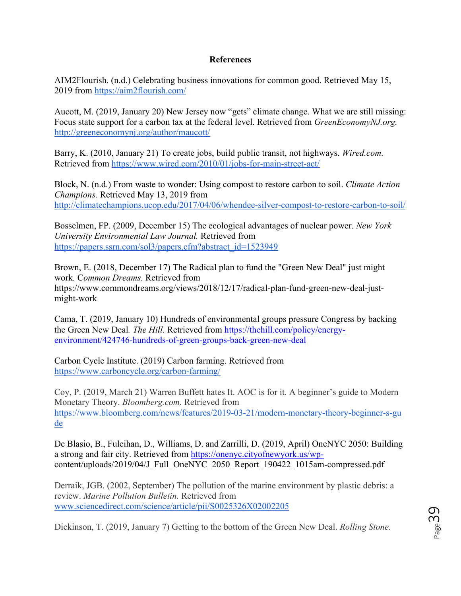## **References**

AIM2Flourish. (n.d.) Celebrating business innovations for common good. Retrieved May 15, 2019 from https://aim2flourish.com/

Aucott, M. (2019, January 20) New Jersey now "gets" climate change. What we are still missing: Focus state support for a carbon tax at the federal level. Retrieved from *GreenEconomyNJ.org.*  http://greeneconomynj.org/author/maucott/

Barry, K. (2010, January 21) To create jobs, build public transit, not highways. *Wired.com.* Retrieved from https://www.wired.com/2010/01/jobs-for-main-street-act/

Block, N. (n.d.) From waste to wonder: Using compost to restore carbon to soil. *Climate Action Champions.* Retrieved May 13, 2019 from http://climatechampions.ucop.edu/2017/04/06/whendee-silver-compost-to-restore-carbon-to-soil/

Bosselmen, FP. (2009, December 15) The ecological advantages of nuclear power. *New York University Environmental Law Journal.* Retrieved from https://papers.ssrn.com/sol3/papers.cfm?abstract\_id=1523949

Brown, E. (2018, December 17) The Radical plan to fund the "Green New Deal" just might work*.* C*ommon Dreams.* Retrieved from https://www.commondreams.org/views/2018/12/17/radical-plan-fund-green-new-deal-justmight-work

Cama, T. (2019, January 10) Hundreds of environmental groups pressure Congress by backing the Green New Deal*. The Hill.* Retrieved from https://thehill.com/policy/energyenvironment/424746-hundreds-of-green-groups-back-green-new-deal

Carbon Cycle Institute. (2019) Carbon farming. Retrieved from https://www.carboncycle.org/carbon-farming/

 Coy, P. (2019, March 21) Warren Buffett hates It. AOC is for it. A beginner's guide to Modern Monetary Theory. *Bloomberg.com.* Retrieved from https://www.bloomberg.com/news/features/2019-03-21/modern-monetary-theory-beginner-s-gu de

De Blasio, B., Fuleihan, D., Williams, D. and Zarrilli, D. (2019, April) OneNYC 2050: Building a strong and fair city. Retrieved from https://onenyc.cityofnewyork.us/wpcontent/uploads/2019/04/J\_Full\_OneNYC\_2050\_Report\_190422\_1015am-compressed.pdf

Derraik, JGB. (2002, September) The pollution of the marine environment by plastic debris: a review. *Marine Pollution Bulletin.* Retrieved from www.sciencedirect.com/science/article/pii/S0025326X02002205

Dickinson, T. (2019, January 7) Getting to the bottom of the Green New Deal. *Rolling Stone.*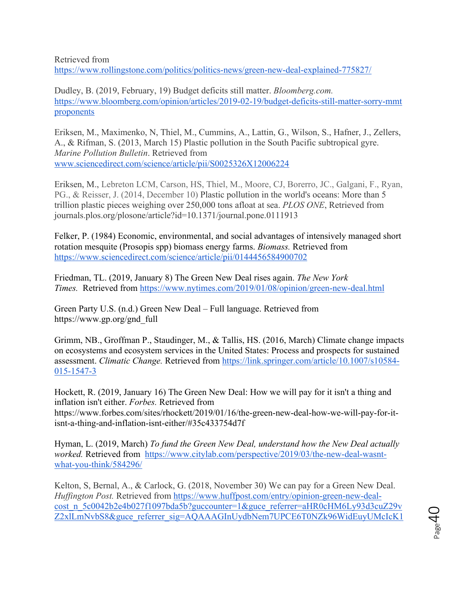Retrieved from

https://www.rollingstone.com/politics/politics-news/green-new-deal-explained-775827/

Dudley, B. (2019, February, 19) Budget deficits still matter. *Bloomberg.com.*  https://www.bloomberg.com/opinion/articles/2019-02-19/budget-deficits-still-matter-sorry-mmt proponents

Eriksen, M., Maximenko, N, Thiel, M., Cummins, A., Lattin, G., Wilson, S., Hafner, J., Zellers, A., & Rifman, S. (2013, March 15) Plastic pollution in the South Pacific subtropical gyre. *Marine Pollution Bulletin*. Retrieved from www.sciencedirect.com/science/article/pii/S0025326X12006224

Eriksen, M., Lebreton LCM, Carson, HS, Thiel, M., Moore, CJ, Borerro, JC., Galgani, F., Ryan, PG., & Reisser, J. (2014, December 10) Plastic pollution in the world's oceans: More than 5 trillion plastic pieces weighing over 250,000 tons afloat at sea. *PLOS ONE*, Retrieved from journals.plos.org/plosone/article?id=10.1371/journal.pone.0111913

Felker, P. (1984) Economic, environmental, and social advantages of intensively managed short rotation mesquite (Prosopis spp) biomass energy farms. *Biomass.* Retrieved from https://www.sciencedirect.com/science/article/pii/0144456584900702

Friedman, TL. (2019, January 8) The Green New Deal rises again. *The New York Times.* Retrieved from https://www.nytimes.com/2019/01/08/opinion/green-new-deal.html

Green Party U.S. (n.d.) Green New Deal – Full language. Retrieved from https://www.gp.org/gnd\_full

Grimm, NB., Groffman P., Staudinger, M., & Tallis, HS. (2016, March) Climate change impacts on ecosystems and ecosystem services in the United States: Process and prospects for sustained assessment. *Climatic Change.* Retrieved from https://link.springer.com/article/10.1007/s10584- 015-1547-3

Hockett, R. (2019, January 16) The Green New Deal: How we will pay for it isn't a thing and inflation isn't either. *Forbes.* Retrieved from https://www.forbes.com/sites/rhockett/2019/01/16/the-green-new-deal-how-we-will-pay-for-itisnt-a-thing-and-inflation-isnt-either/#35c433754d7f

Hyman, L. (2019, March) *To fund the Green New Deal, understand how the New Deal actually worked.* Retrieved from https://www.citylab.com/perspective/2019/03/the-new-deal-wasntwhat-you-think/584296/

Kelton, S, Bernal, A., & Carlock, G. (2018, November 30) We can pay for a Green New Deal. *Huffington Post.* Retrieved from https://www.huffpost.com/entry/opinion-green-new-dealcost\_n\_5c0042b2e4b027f1097bda5b?guccounter=1&guce\_referrer=aHR0cHM6Ly93d3cuZ29v Z2xlLmNvbS8&guce\_referrer\_sig=AQAAAGInUydbNem7UPCE6T0NZk96WidEuyUMcIcK1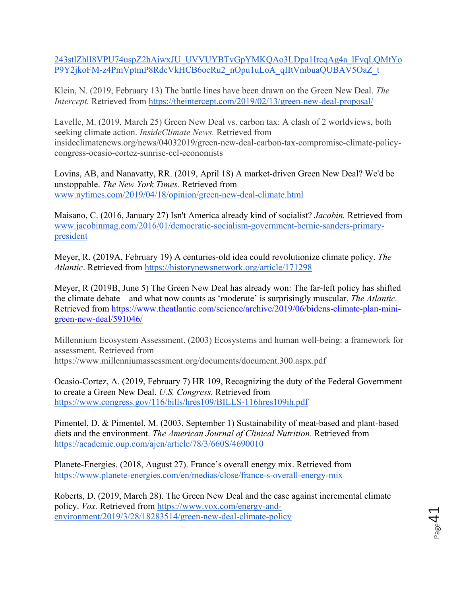243stlZhlI8VPU74uspZ2hAiwxJU\_UVVUYBTvGpYMKQAo3LDpa1IrcqAg4a\_lFvqLQMtYo P9Y2jkoFM-z4PmVptmP8RdcVkHCB6ocRu2\_nOpu1uLoA\_qIItVmbuaQUBAV5OaZ\_t

Klein, N. (2019, February 13) The battle lines have been drawn on the Green New Deal. *The Intercept.* Retrieved from https://theintercept.com/2019/02/13/green-new-deal-proposal/

Lavelle, M. (2019, March 25) Green New Deal vs. carbon tax: A clash of 2 worldviews, both seeking climate action. *InsideClimate News.* Retrieved from insideclimatenews.org/news/04032019/green-new-deal-carbon-tax-compromise-climate-policycongress-ocasio-cortez-sunrise-ccl-economists

Lovins, AB, and Nanavatty, RR. (2019, April 18) A market-driven Green New Deal? We'd be unstoppable. *The New York Times.* Retrieved from www.nytimes.com/2019/04/18/opinion/green-new-deal-climate.html

Maisano, C. (2016, January 27) Isn't America already kind of socialist? *Jacobin.* Retrieved from www.jacobinmag.com/2016/01/democratic-socialism-government-bernie-sanders-primarypresident

Meyer, R. (2019A, February 19) A centuries-old idea could revolutionize climate policy. *The Atlantic*. Retrieved from https://historynewsnetwork.org/article/171298

Meyer, R (2019B, June 5) The Green New Deal has already won: The far-left policy has shifted the climate debate—and what now counts as 'moderate' is surprisingly muscular. *The Atlantic.*  Retrieved from https://www.theatlantic.com/science/archive/2019/06/bidens-climate-plan-minigreen-new-deal/591046/

Millennium Ecosystem Assessment. (2003) Ecosystems and human well-being: a framework for assessment. Retrieved from https://www.millenniumassessment.org/documents/document.300.aspx.pdf

Ocasio-Cortez, A. (2019, February 7) HR 109, Recognizing the duty of the Federal Government to create a Green New Deal. *U.S. Congress.* Retrieved from https://www.congress.gov/116/bills/hres109/BILLS-116hres109ih.pdf

Pimentel, D. & Pimentel, M. (2003, September 1) Sustainability of meat-based and plant-based diets and the environment. *The American Journal of Clinical Nutrition*. Retrieved from https://academic.oup.com/ajcn/article/78/3/660S/4690010

Planete-Energies. (2018, August 27). France's overall energy mix. Retrieved from https://www.planete-energies.com/en/medias/close/france-s-overall-energy-mix

Roberts, D. (2019, March 28). The Green New Deal and the case against incremental climate policy. *Vox.* Retrieved from https://www.vox.com/energy-andenvironment/2019/3/28/18283514/green-new-deal-climate-policy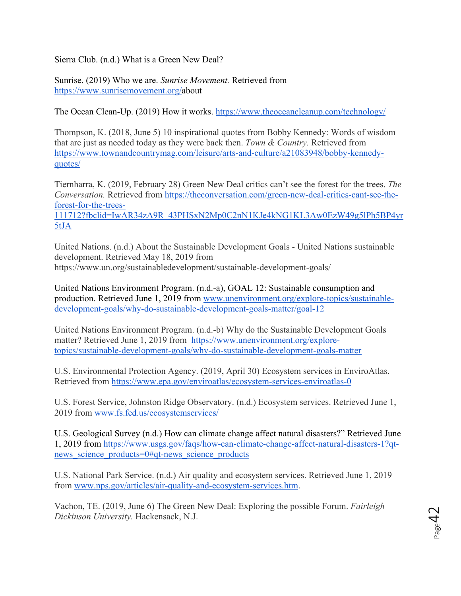Sierra Club. (n.d.) What is a Green New Deal?

Sunrise. (2019) Who we are. *Sunrise Movement.* Retrieved from https://www.sunrisemovement.org/about

The Ocean Clean-Up. (2019) How it works. https://www.theoceancleanup.com/technology/

Thompson, K. (2018, June 5) 10 inspirational quotes from Bobby Kennedy: Words of wisdom that are just as needed today as they were back then. *Town & Country.* Retrieved from https://www.townandcountrymag.com/leisure/arts-and-culture/a21083948/bobby-kennedyquotes/

Tiernharra, K. (2019, February 28) Green New Deal critics can't see the forest for the trees. *The Conversation.* Retrieved from https://theconversation.com/green-new-deal-critics-cant-see-theforest-for-the-trees-

111712?fbclid=IwAR34zA9R\_43PHSxN2Mp0C2nN1KJe4kNG1KL3Aw0EzW49g5lPh5BP4yr 5tJA

United Nations. (n.d.) About the Sustainable Development Goals - United Nations sustainable development. Retrieved May 18, 2019 from https://www.un.org/sustainabledevelopment/sustainable-development-goals/

United Nations Environment Program. (n.d.-a), GOAL 12: Sustainable consumption and production. Retrieved June 1, 2019 from www.unenvironment.org/explore-topics/sustainabledevelopment-goals/why-do-sustainable-development-goals-matter/goal-12

United Nations Environment Program. (n.d.-b) Why do the Sustainable Development Goals matter? Retrieved June 1, 2019 from https://www.unenvironment.org/exploretopics/sustainable-development-goals/why-do-sustainable-development-goals-matter

U.S. Environmental Protection Agency. (2019, April 30) Ecosystem services in EnviroAtlas. Retrieved from https://www.epa.gov/enviroatlas/ecosystem-services-enviroatlas-0

U.S. Forest Service, Johnston Ridge Observatory. (n.d.) Ecosystem services. Retrieved June 1, 2019 from www.fs.fed.us/ecosystemservices/

U.S. Geological Survey (n.d.) How can climate change affect natural disasters?" Retrieved June 1, 2019 from https://www.usgs.gov/faqs/how-can-climate-change-affect-natural-disasters-1?qtnews science products=0#qt-news science products

U.S. National Park Service. (n.d.) Air quality and ecosystem services. Retrieved June 1, 2019 from www.nps.gov/articles/air-quality-and-ecosystem-services.htm.

Vachon, TE. (2019, June 6) The Green New Deal: Exploring the possible Forum. *Fairleigh Dickinson University.* Hackensack, N.J.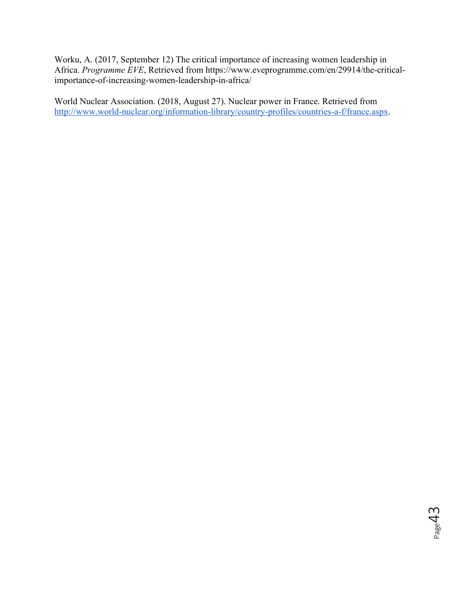Worku, A. (2017, September 12) The critical importance of increasing women leadership in Africa. *Programme EVE*, Retrieved from https://www.eveprogramme.com/en/29914/the-criticalimportance-of-increasing-women-leadership-in-africa/

World Nuclear Association. (2018, August 27). Nuclear power in France. Retrieved from http://www.world-nuclear.org/information-library/country-profiles/countries-a-f/france.aspx.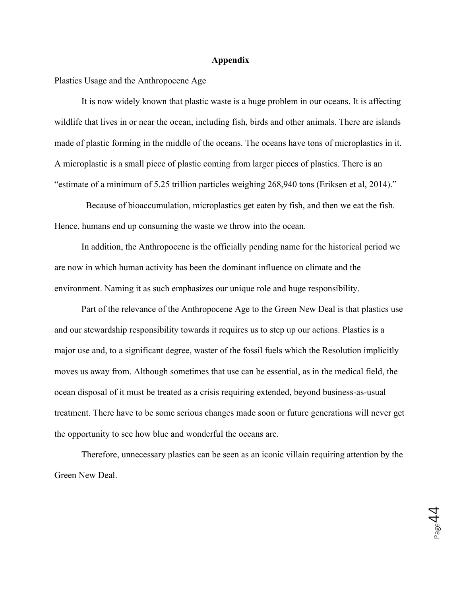#### **Appendix**

Plastics Usage and the Anthropocene Age

It is now widely known that plastic waste is a huge problem in our oceans. It is affecting wildlife that lives in or near the ocean, including fish, birds and other animals. There are islands made of plastic forming in the middle of the oceans. The oceans have tons of microplastics in it. A microplastic is a small piece of plastic coming from larger pieces of plastics. There is an "estimate of a minimum of 5.25 trillion particles weighing 268,940 tons (Eriksen et al, 2014)."

Because of bioaccumulation, microplastics get eaten by fish, and then we eat the fish. Hence, humans end up consuming the waste we throw into the ocean.

In addition, the Anthropocene is the officially pending name for the historical period we are now in which human activity has been the dominant influence on climate and the environment. Naming it as such emphasizes our unique role and huge responsibility.

Part of the relevance of the Anthropocene Age to the Green New Deal is that plastics use and our stewardship responsibility towards it requires us to step up our actions. Plastics is a major use and, to a significant degree, waster of the fossil fuels which the Resolution implicitly moves us away from. Although sometimes that use can be essential, as in the medical field, the ocean disposal of it must be treated as a crisis requiring extended, beyond business-as-usual treatment. There have to be some serious changes made soon or future generations will never get the opportunity to see how blue and wonderful the oceans are.

Therefore, unnecessary plastics can be seen as an iconic villain requiring attention by the Green New Deal.

 $\rho_{\rm age}$ 44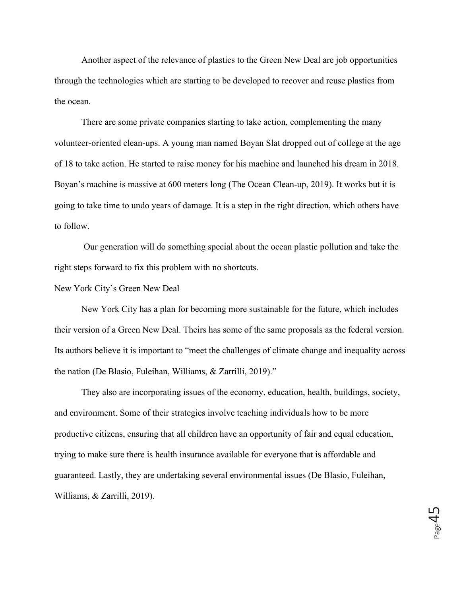Another aspect of the relevance of plastics to the Green New Deal are job opportunities through the technologies which are starting to be developed to recover and reuse plastics from the ocean.

There are some private companies starting to take action, complementing the many volunteer-oriented clean-ups. A young man named Boyan Slat dropped out of college at the age of 18 to take action. He started to raise money for his machine and launched his dream in 2018. Boyan's machine is massive at 600 meters long (The Ocean Clean-up, 2019). It works but it is going to take time to undo years of damage. It is a step in the right direction, which others have to follow.

Our generation will do something special about the ocean plastic pollution and take the right steps forward to fix this problem with no shortcuts.

New York City's Green New Deal

New York City has a plan for becoming more sustainable for the future, which includes their version of a Green New Deal. Theirs has some of the same proposals as the federal version. Its authors believe it is important to "meet the challenges of climate change and inequality across the nation (De Blasio, Fuleihan, Williams, & Zarrilli, 2019)."

They also are incorporating issues of the economy, education, health, buildings, society, and environment. Some of their strategies involve teaching individuals how to be more productive citizens, ensuring that all children have an opportunity of fair and equal education, trying to make sure there is health insurance available for everyone that is affordable and guaranteed. Lastly, they are undertaking several environmental issues (De Blasio, Fuleihan, Williams, & Zarrilli, 2019).